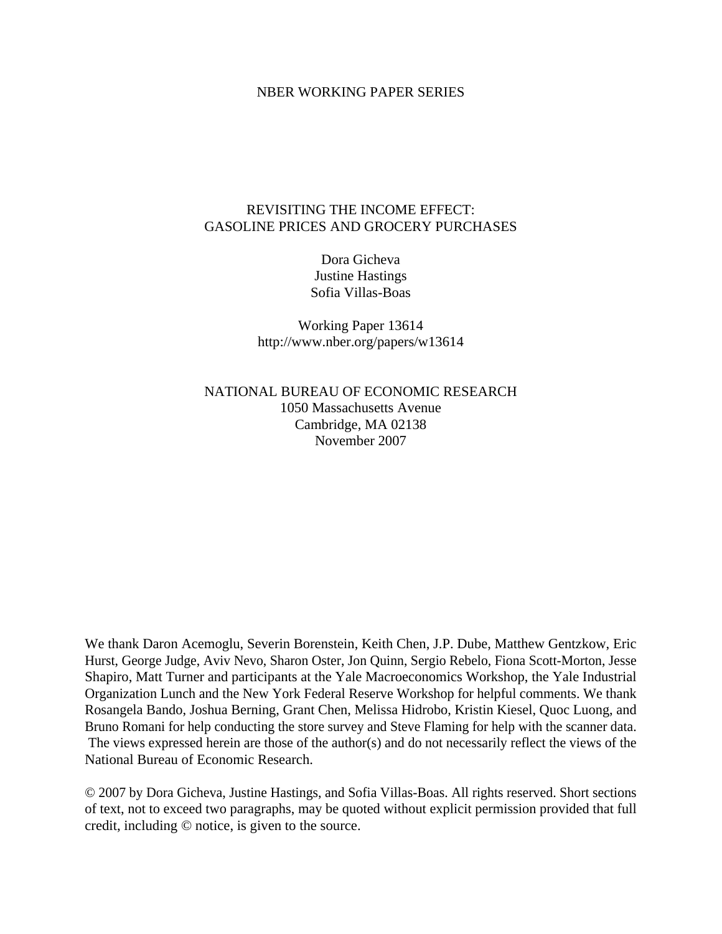#### NBER WORKING PAPER SERIES

## REVISITING THE INCOME EFFECT: GASOLINE PRICES AND GROCERY PURCHASES

Dora Gicheva Justine Hastings Sofia Villas-Boas

Working Paper 13614 http://www.nber.org/papers/w13614

NATIONAL BUREAU OF ECONOMIC RESEARCH 1050 Massachusetts Avenue Cambridge, MA 02138 November 2007

We thank Daron Acemoglu, Severin Borenstein, Keith Chen, J.P. Dube, Matthew Gentzkow, Eric Hurst, George Judge, Aviv Nevo, Sharon Oster, Jon Quinn, Sergio Rebelo, Fiona Scott-Morton, Jesse Shapiro, Matt Turner and participants at the Yale Macroeconomics Workshop, the Yale Industrial Organization Lunch and the New York Federal Reserve Workshop for helpful comments. We thank Rosangela Bando, Joshua Berning, Grant Chen, Melissa Hidrobo, Kristin Kiesel, Quoc Luong, and Bruno Romani for help conducting the store survey and Steve Flaming for help with the scanner data. The views expressed herein are those of the author(s) and do not necessarily reflect the views of the National Bureau of Economic Research.

© 2007 by Dora Gicheva, Justine Hastings, and Sofia Villas-Boas. All rights reserved. Short sections of text, not to exceed two paragraphs, may be quoted without explicit permission provided that full credit, including © notice, is given to the source.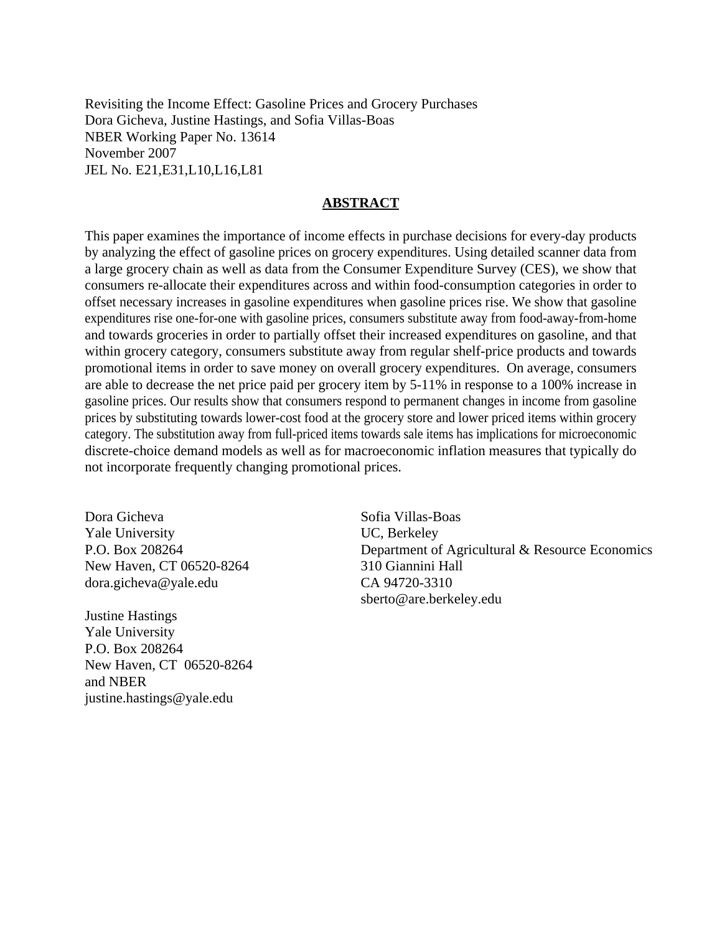Revisiting the Income Effect: Gasoline Prices and Grocery Purchases Dora Gicheva, Justine Hastings, and Sofia Villas-Boas NBER Working Paper No. 13614 November 2007 JEL No. E21,E31,L10,L16,L81

#### **ABSTRACT**

This paper examines the importance of income effects in purchase decisions for every-day products by analyzing the effect of gasoline prices on grocery expenditures. Using detailed scanner data from a large grocery chain as well as data from the Consumer Expenditure Survey (CES), we show that consumers re-allocate their expenditures across and within food-consumption categories in order to offset necessary increases in gasoline expenditures when gasoline prices rise. We show that gasoline expenditures rise one-for-one with gasoline prices, consumers substitute away from food-away-from-home and towards groceries in order to partially offset their increased expenditures on gasoline, and that within grocery category, consumers substitute away from regular shelf-price products and towards promotional items in order to save money on overall grocery expenditures. On average, consumers are able to decrease the net price paid per grocery item by 5-11% in response to a 100% increase in gasoline prices. Our results show that consumers respond to permanent changes in income from gasoline prices by substituting towards lower-cost food at the grocery store and lower priced items within grocery category. The substitution away from full-priced items towards sale items has implications for microeconomic discrete-choice demand models as well as for macroeconomic inflation measures that typically do not incorporate frequently changing promotional prices.

Dora Gicheva Yale University P.O. Box 208264 New Haven, CT 06520-8264 dora.gicheva@yale.edu

Justine Hastings Yale University P.O. Box 208264 New Haven, CT 06520-8264 and NBER justine.hastings@yale.edu

Sofia Villas-Boas UC, Berkeley Department of Agricultural & Resource Economics 310 Giannini Hall CA 94720-3310 sberto@are.berkeley.edu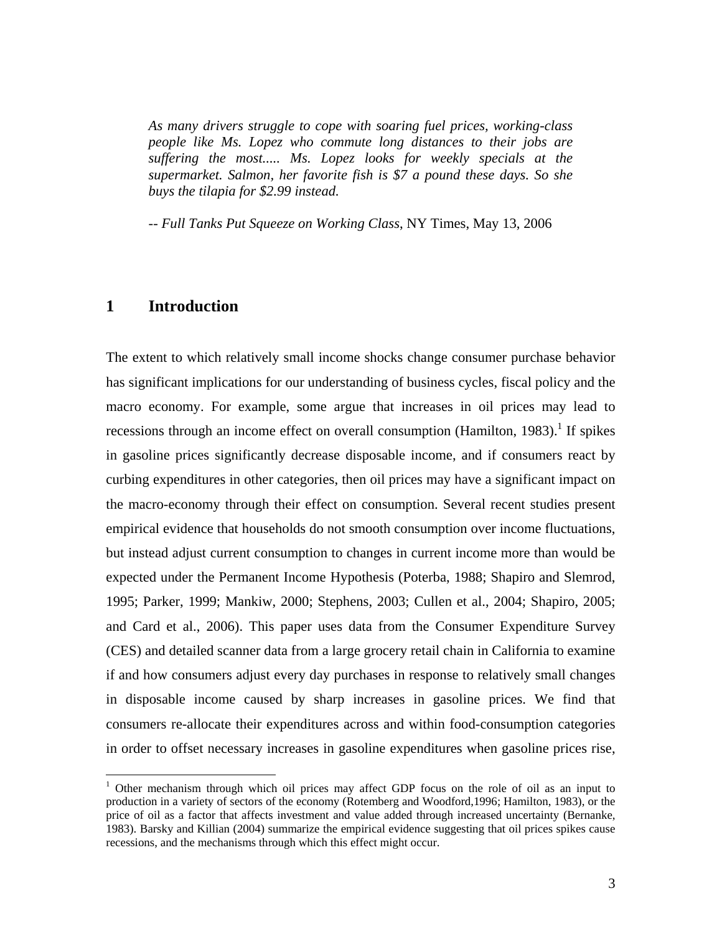*As many drivers struggle to cope with soaring fuel prices, working-class people like Ms. Lopez who commute long distances to their jobs are suffering the most..... Ms. Lopez looks for weekly specials at the supermarket. Salmon, her favorite fish is \$7 a pound these days. So she buys the tilapia for \$2.99 instead.* 

-- *Full Tanks Put Squeeze on Working Class*, NY Times, May 13, 2006

# **1 Introduction**

1

The extent to which relatively small income shocks change consumer purchase behavior has significant implications for our understanding of business cycles, fiscal policy and the macro economy. For example, some argue that increases in oil prices may lead to recessions through an income effect on overall consumption (Hamilton, 1983).<sup>1</sup> If spikes in gasoline prices significantly decrease disposable income, and if consumers react by curbing expenditures in other categories, then oil prices may have a significant impact on the macro-economy through their effect on consumption. Several recent studies present empirical evidence that households do not smooth consumption over income fluctuations, but instead adjust current consumption to changes in current income more than would be expected under the Permanent Income Hypothesis (Poterba, 1988; Shapiro and Slemrod, 1995; Parker, 1999; Mankiw, 2000; Stephens, 2003; Cullen et al., 2004; Shapiro, 2005; and Card et al., 2006). This paper uses data from the Consumer Expenditure Survey (CES) and detailed scanner data from a large grocery retail chain in California to examine if and how consumers adjust every day purchases in response to relatively small changes in disposable income caused by sharp increases in gasoline prices. We find that consumers re-allocate their expenditures across and within food-consumption categories in order to offset necessary increases in gasoline expenditures when gasoline prices rise,

<sup>&</sup>lt;sup>1</sup> Other mechanism through which oil prices may affect GDP focus on the role of oil as an input to production in a variety of sectors of the economy (Rotemberg and Woodford,1996; Hamilton, 1983), or the price of oil as a factor that affects investment and value added through increased uncertainty (Bernanke, 1983). Barsky and Killian (2004) summarize the empirical evidence suggesting that oil prices spikes cause recessions, and the mechanisms through which this effect might occur.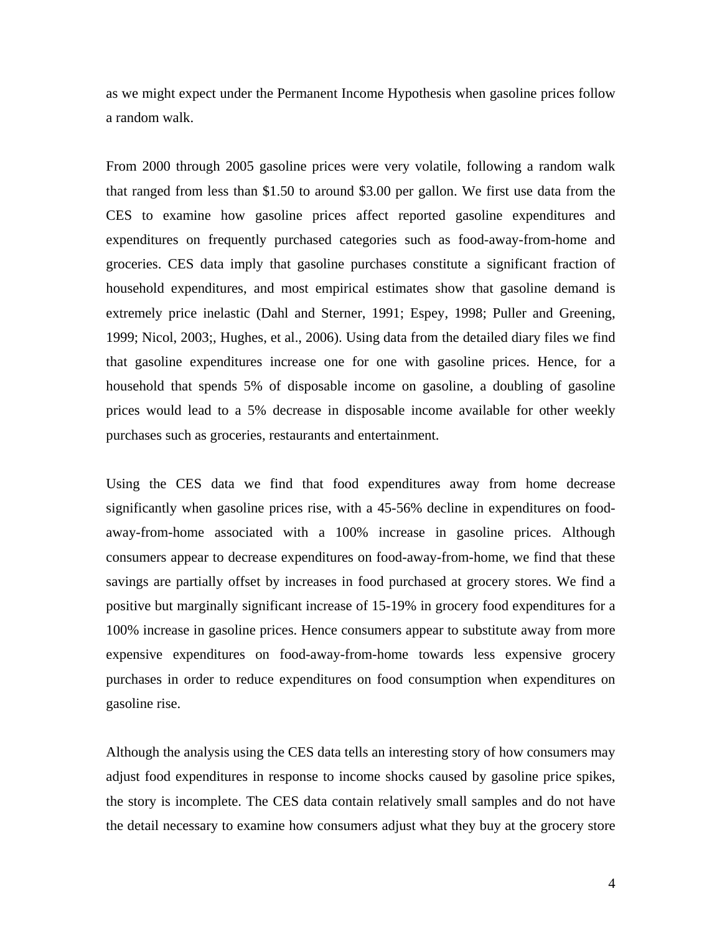as we might expect under the Permanent Income Hypothesis when gasoline prices follow a random walk.

From 2000 through 2005 gasoline prices were very volatile, following a random walk that ranged from less than \$1.50 to around \$3.00 per gallon. We first use data from the CES to examine how gasoline prices affect reported gasoline expenditures and expenditures on frequently purchased categories such as food-away-from-home and groceries. CES data imply that gasoline purchases constitute a significant fraction of household expenditures, and most empirical estimates show that gasoline demand is extremely price inelastic (Dahl and Sterner, 1991; Espey, 1998; Puller and Greening, 1999; Nicol, 2003;, Hughes, et al., 2006). Using data from the detailed diary files we find that gasoline expenditures increase one for one with gasoline prices. Hence, for a household that spends 5% of disposable income on gasoline, a doubling of gasoline prices would lead to a 5% decrease in disposable income available for other weekly purchases such as groceries, restaurants and entertainment.

Using the CES data we find that food expenditures away from home decrease significantly when gasoline prices rise, with a 45-56% decline in expenditures on foodaway-from-home associated with a 100% increase in gasoline prices. Although consumers appear to decrease expenditures on food-away-from-home, we find that these savings are partially offset by increases in food purchased at grocery stores. We find a positive but marginally significant increase of 15-19% in grocery food expenditures for a 100% increase in gasoline prices. Hence consumers appear to substitute away from more expensive expenditures on food-away-from-home towards less expensive grocery purchases in order to reduce expenditures on food consumption when expenditures on gasoline rise.

Although the analysis using the CES data tells an interesting story of how consumers may adjust food expenditures in response to income shocks caused by gasoline price spikes, the story is incomplete. The CES data contain relatively small samples and do not have the detail necessary to examine how consumers adjust what they buy at the grocery store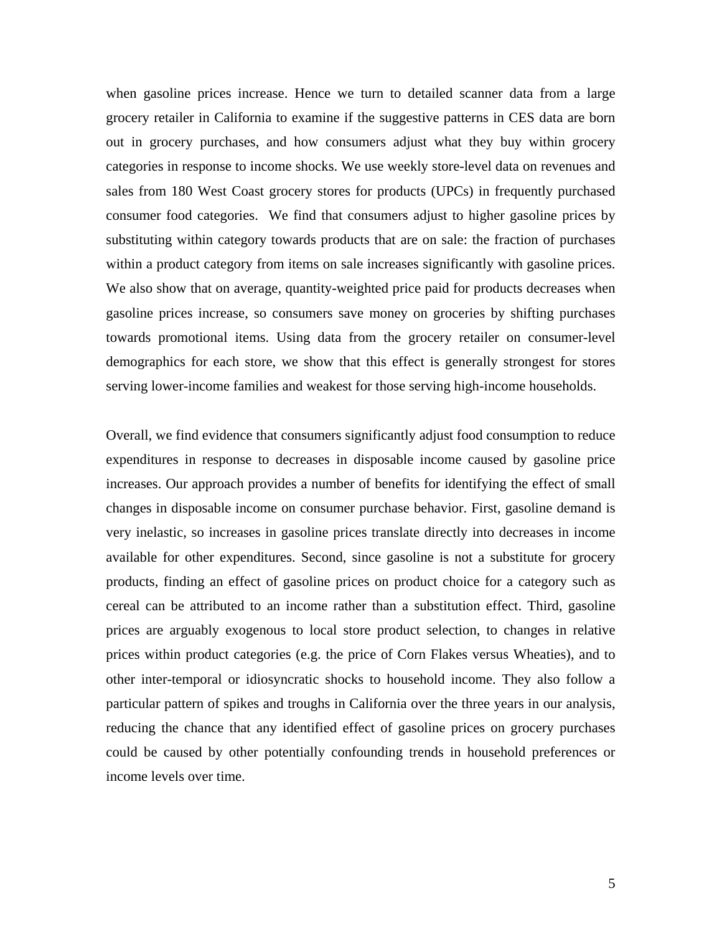when gasoline prices increase. Hence we turn to detailed scanner data from a large grocery retailer in California to examine if the suggestive patterns in CES data are born out in grocery purchases, and how consumers adjust what they buy within grocery categories in response to income shocks. We use weekly store-level data on revenues and sales from 180 West Coast grocery stores for products (UPCs) in frequently purchased consumer food categories. We find that consumers adjust to higher gasoline prices by substituting within category towards products that are on sale: the fraction of purchases within a product category from items on sale increases significantly with gasoline prices. We also show that on average, quantity-weighted price paid for products decreases when gasoline prices increase, so consumers save money on groceries by shifting purchases towards promotional items. Using data from the grocery retailer on consumer-level demographics for each store, we show that this effect is generally strongest for stores serving lower-income families and weakest for those serving high-income households.

Overall, we find evidence that consumers significantly adjust food consumption to reduce expenditures in response to decreases in disposable income caused by gasoline price increases. Our approach provides a number of benefits for identifying the effect of small changes in disposable income on consumer purchase behavior. First, gasoline demand is very inelastic, so increases in gasoline prices translate directly into decreases in income available for other expenditures. Second, since gasoline is not a substitute for grocery products, finding an effect of gasoline prices on product choice for a category such as cereal can be attributed to an income rather than a substitution effect. Third, gasoline prices are arguably exogenous to local store product selection, to changes in relative prices within product categories (e.g. the price of Corn Flakes versus Wheaties), and to other inter-temporal or idiosyncratic shocks to household income. They also follow a particular pattern of spikes and troughs in California over the three years in our analysis, reducing the chance that any identified effect of gasoline prices on grocery purchases could be caused by other potentially confounding trends in household preferences or income levels over time.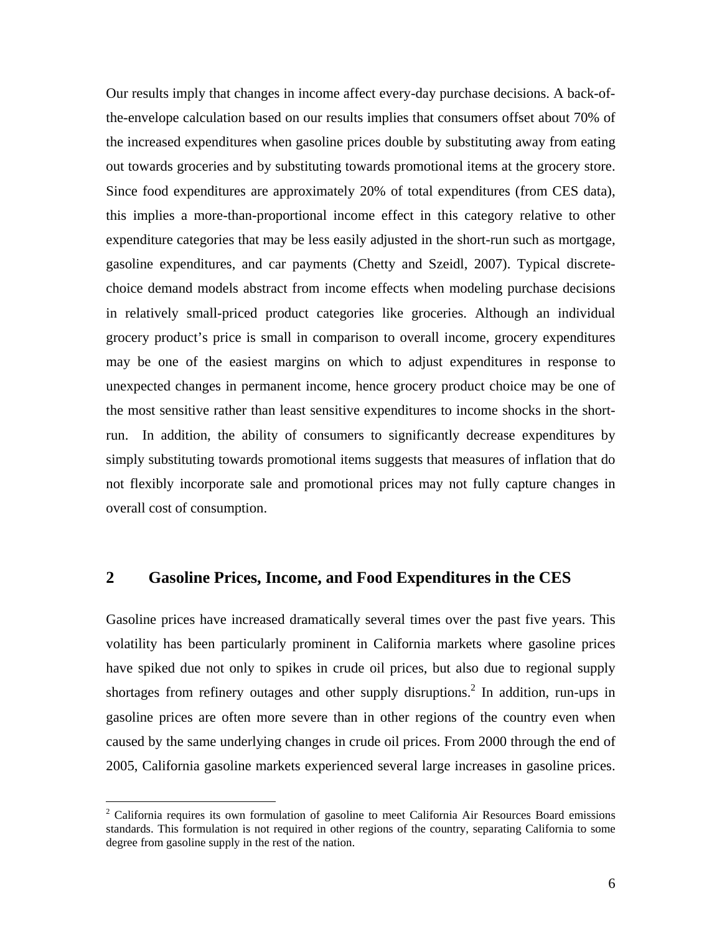Our results imply that changes in income affect every-day purchase decisions. A back-ofthe-envelope calculation based on our results implies that consumers offset about 70% of the increased expenditures when gasoline prices double by substituting away from eating out towards groceries and by substituting towards promotional items at the grocery store. Since food expenditures are approximately 20% of total expenditures (from CES data), this implies a more-than-proportional income effect in this category relative to other expenditure categories that may be less easily adjusted in the short-run such as mortgage, gasoline expenditures, and car payments (Chetty and Szeidl, 2007). Typical discretechoice demand models abstract from income effects when modeling purchase decisions in relatively small-priced product categories like groceries. Although an individual grocery product's price is small in comparison to overall income, grocery expenditures may be one of the easiest margins on which to adjust expenditures in response to unexpected changes in permanent income, hence grocery product choice may be one of the most sensitive rather than least sensitive expenditures to income shocks in the shortrun. In addition, the ability of consumers to significantly decrease expenditures by simply substituting towards promotional items suggests that measures of inflation that do not flexibly incorporate sale and promotional prices may not fully capture changes in overall cost of consumption.

## **2 Gasoline Prices, Income, and Food Expenditures in the CES**

Gasoline prices have increased dramatically several times over the past five years. This volatility has been particularly prominent in California markets where gasoline prices have spiked due not only to spikes in crude oil prices, but also due to regional supply shortages from refinery outages and other supply disruptions.<sup>2</sup> In addition, run-ups in gasoline prices are often more severe than in other regions of the country even when caused by the same underlying changes in crude oil prices. From 2000 through the end of 2005, California gasoline markets experienced several large increases in gasoline prices.

1

<sup>&</sup>lt;sup>2</sup> California requires its own formulation of gasoline to meet California Air Resources Board emissions standards. This formulation is not required in other regions of the country, separating California to some degree from gasoline supply in the rest of the nation.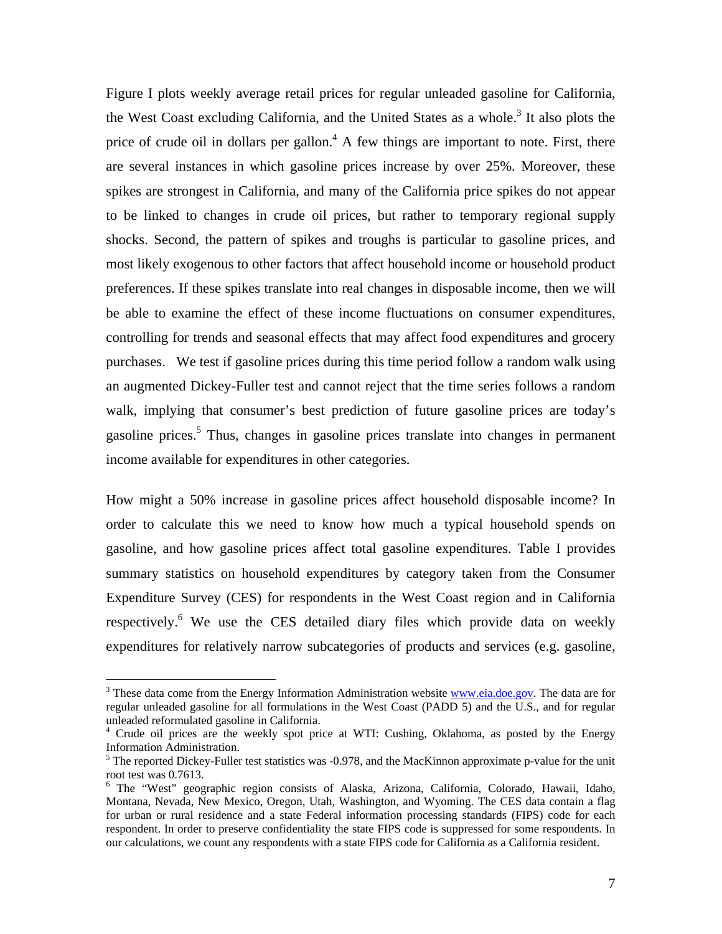Figure I plots weekly average retail prices for regular unleaded gasoline for California, the West Coast excluding California, and the United States as a whole.<sup>3</sup> It also plots the price of crude oil in dollars per gallon.<sup>4</sup> A few things are important to note. First, there are several instances in which gasoline prices increase by over 25%. Moreover, these spikes are strongest in California, and many of the California price spikes do not appear to be linked to changes in crude oil prices, but rather to temporary regional supply shocks. Second, the pattern of spikes and troughs is particular to gasoline prices, and most likely exogenous to other factors that affect household income or household product preferences. If these spikes translate into real changes in disposable income, then we will be able to examine the effect of these income fluctuations on consumer expenditures, controlling for trends and seasonal effects that may affect food expenditures and grocery purchases. We test if gasoline prices during this time period follow a random walk using an augmented Dickey-Fuller test and cannot reject that the time series follows a random walk, implying that consumer's best prediction of future gasoline prices are today's gasoline prices.<sup>5</sup> Thus, changes in gasoline prices translate into changes in permanent income available for expenditures in other categories.

How might a 50% increase in gasoline prices affect household disposable income? In order to calculate this we need to know how much a typical household spends on gasoline, and how gasoline prices affect total gasoline expenditures. Table I provides summary statistics on household expenditures by category taken from the Consumer Expenditure Survey (CES) for respondents in the West Coast region and in California respectively.<sup>6</sup> We use the CES detailed diary files which provide data on weekly expenditures for relatively narrow subcategories of products and services (e.g. gasoline,

1

<sup>&</sup>lt;sup>3</sup> These data come from the Energy Information Administration website **www.eia.doe.gov**. The data are for regular unleaded gasoline for all formulations in the West Coast (PADD 5) and the U.S., and for regular unleaded reformulated gasoline in California.

<sup>&</sup>lt;sup>4</sup> Crude oil prices are the weekly spot price at WTI: Cushing, Oklahoma, as posted by the Energy Information Administration.

 $<sup>5</sup>$  The reported Dickey-Fuller test statistics was -0.978, and the MacKinnon approximate p-value for the unit</sup> root test was 0.7613.

<sup>&</sup>lt;sup>6</sup> The "West" geographic region consists of Alaska, Arizona, California, Colorado, Hawaii, Idaho, Montana, Nevada, New Mexico, Oregon, Utah, Washington, and Wyoming. The CES data contain a flag for urban or rural residence and a state Federal information processing standards (FIPS) code for each respondent. In order to preserve confidentiality the state FIPS code is suppressed for some respondents. In our calculations, we count any respondents with a state FIPS code for California as a California resident.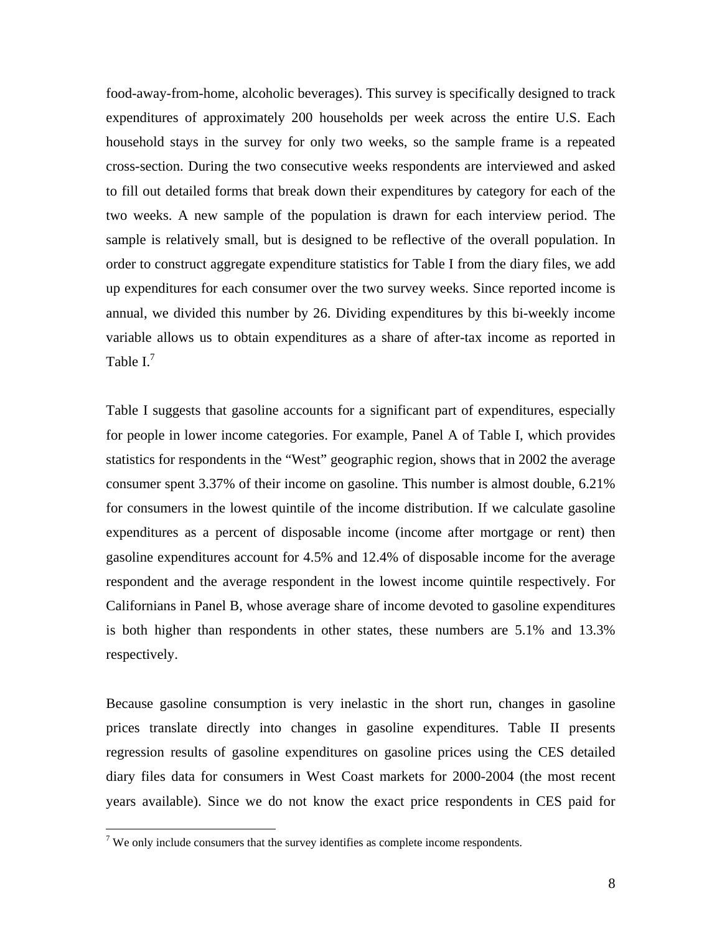food-away-from-home, alcoholic beverages). This survey is specifically designed to track expenditures of approximately 200 households per week across the entire U.S. Each household stays in the survey for only two weeks, so the sample frame is a repeated cross-section. During the two consecutive weeks respondents are interviewed and asked to fill out detailed forms that break down their expenditures by category for each of the two weeks. A new sample of the population is drawn for each interview period. The sample is relatively small, but is designed to be reflective of the overall population. In order to construct aggregate expenditure statistics for Table I from the diary files, we add up expenditures for each consumer over the two survey weeks. Since reported income is annual, we divided this number by 26. Dividing expenditures by this bi-weekly income variable allows us to obtain expenditures as a share of after-tax income as reported in Table  $I^7$ .

Table I suggests that gasoline accounts for a significant part of expenditures, especially for people in lower income categories. For example, Panel A of Table I, which provides statistics for respondents in the "West" geographic region, shows that in 2002 the average consumer spent 3.37% of their income on gasoline. This number is almost double, 6.21% for consumers in the lowest quintile of the income distribution. If we calculate gasoline expenditures as a percent of disposable income (income after mortgage or rent) then gasoline expenditures account for 4.5% and 12.4% of disposable income for the average respondent and the average respondent in the lowest income quintile respectively. For Californians in Panel B, whose average share of income devoted to gasoline expenditures is both higher than respondents in other states, these numbers are 5.1% and 13.3% respectively.

Because gasoline consumption is very inelastic in the short run, changes in gasoline prices translate directly into changes in gasoline expenditures. Table II presents regression results of gasoline expenditures on gasoline prices using the CES detailed diary files data for consumers in West Coast markets for 2000-2004 (the most recent years available). Since we do not know the exact price respondents in CES paid for

 $\overline{a}$ <sup>7</sup> We only include consumers that the survey identifies as complete income respondents.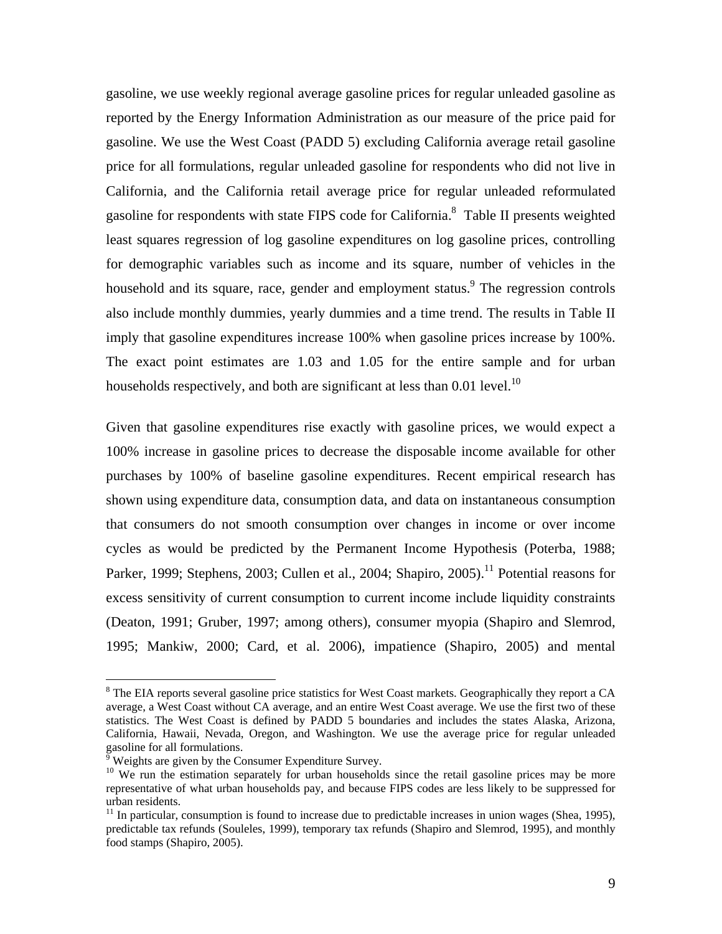gasoline, we use weekly regional average gasoline prices for regular unleaded gasoline as reported by the Energy Information Administration as our measure of the price paid for gasoline. We use the West Coast (PADD 5) excluding California average retail gasoline price for all formulations, regular unleaded gasoline for respondents who did not live in California, and the California retail average price for regular unleaded reformulated gasoline for respondents with state FIPS code for California.<sup>8</sup> Table II presents weighted least squares regression of log gasoline expenditures on log gasoline prices, controlling for demographic variables such as income and its square, number of vehicles in the household and its square, race, gender and employment status.<sup>9</sup> The regression controls also include monthly dummies, yearly dummies and a time trend. The results in Table II imply that gasoline expenditures increase 100% when gasoline prices increase by 100%. The exact point estimates are 1.03 and 1.05 for the entire sample and for urban households respectively, and both are significant at less than  $0.01$  level.<sup>10</sup>

Given that gasoline expenditures rise exactly with gasoline prices, we would expect a 100% increase in gasoline prices to decrease the disposable income available for other purchases by 100% of baseline gasoline expenditures. Recent empirical research has shown using expenditure data, consumption data, and data on instantaneous consumption that consumers do not smooth consumption over changes in income or over income cycles as would be predicted by the Permanent Income Hypothesis (Poterba, 1988; Parker, 1999; Stephens, 2003; Cullen et al., 2004; Shapiro, 2005).<sup>11</sup> Potential reasons for excess sensitivity of current consumption to current income include liquidity constraints (Deaton, 1991; Gruber, 1997; among others), consumer myopia (Shapiro and Slemrod, 1995; Mankiw, 2000; Card, et al. 2006), impatience (Shapiro, 2005) and mental

 $\overline{a}$ 

<sup>&</sup>lt;sup>8</sup> The EIA reports several gasoline price statistics for West Coast markets. Geographically they report a CA average, a West Coast without CA average, and an entire West Coast average. We use the first two of these statistics. The West Coast is defined by PADD 5 boundaries and includes the states Alaska, Arizona, California, Hawaii, Nevada, Oregon, and Washington. We use the average price for regular unleaded gasoline for all formulations.<br> $\frac{9}{9}$  Weights are given by the Co

Weights are given by the Consumer Expenditure Survey.

<sup>&</sup>lt;sup>10</sup> We run the estimation separately for urban households since the retail gasoline prices may be more representative of what urban households pay, and because FIPS codes are less likely to be suppressed for urban residents.

 $11$  In particular, consumption is found to increase due to predictable increases in union wages (Shea, 1995), predictable tax refunds (Souleles, 1999), temporary tax refunds (Shapiro and Slemrod, 1995), and monthly food stamps (Shapiro, 2005).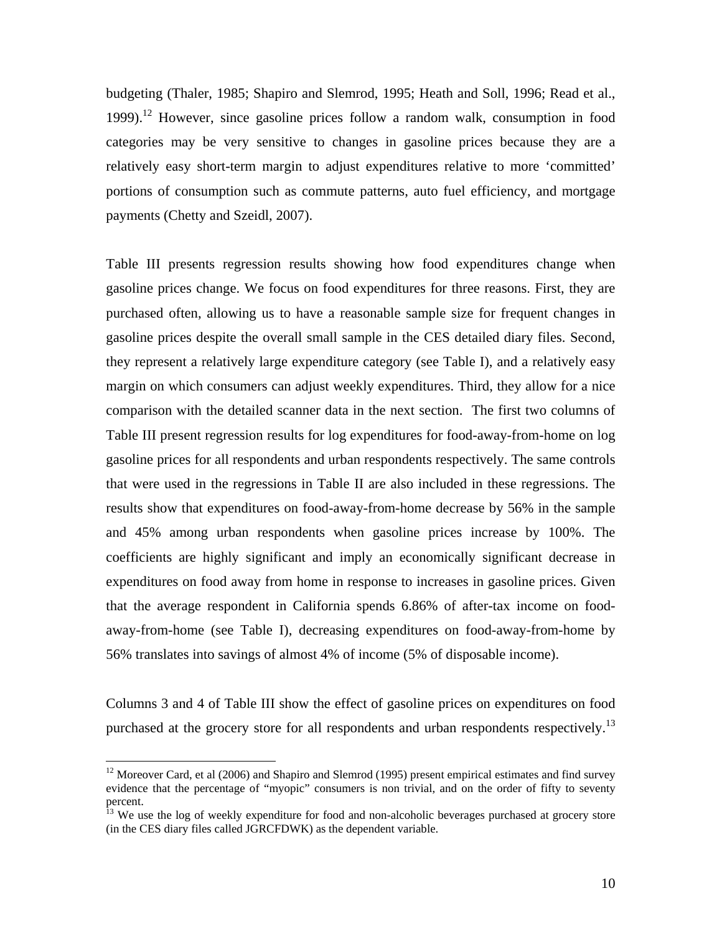budgeting (Thaler, 1985; Shapiro and Slemrod, 1995; Heath and Soll, 1996; Read et al., 1999).<sup>12</sup> However, since gasoline prices follow a random walk, consumption in food categories may be very sensitive to changes in gasoline prices because they are a relatively easy short-term margin to adjust expenditures relative to more 'committed' portions of consumption such as commute patterns, auto fuel efficiency, and mortgage payments (Chetty and Szeidl, 2007).

Table III presents regression results showing how food expenditures change when gasoline prices change. We focus on food expenditures for three reasons. First, they are purchased often, allowing us to have a reasonable sample size for frequent changes in gasoline prices despite the overall small sample in the CES detailed diary files. Second, they represent a relatively large expenditure category (see Table I), and a relatively easy margin on which consumers can adjust weekly expenditures. Third, they allow for a nice comparison with the detailed scanner data in the next section. The first two columns of Table III present regression results for log expenditures for food-away-from-home on log gasoline prices for all respondents and urban respondents respectively. The same controls that were used in the regressions in Table II are also included in these regressions. The results show that expenditures on food-away-from-home decrease by 56% in the sample and 45% among urban respondents when gasoline prices increase by 100%. The coefficients are highly significant and imply an economically significant decrease in expenditures on food away from home in response to increases in gasoline prices. Given that the average respondent in California spends 6.86% of after-tax income on foodaway-from-home (see Table I), decreasing expenditures on food-away-from-home by 56% translates into savings of almost 4% of income (5% of disposable income).

Columns 3 and 4 of Table III show the effect of gasoline prices on expenditures on food purchased at the grocery store for all respondents and urban respondents respectively.<sup>13</sup>

1

<sup>&</sup>lt;sup>12</sup> Moreover Card, et al (2006) and Shapiro and Slemrod (1995) present empirical estimates and find survey evidence that the percentage of "myopic" consumers is non trivial, and on the order of fifty to seventy percent.

<sup>&</sup>lt;sup>13</sup> We use the log of weekly expenditure for food and non-alcoholic beverages purchased at grocery store (in the CES diary files called JGRCFDWK) as the dependent variable.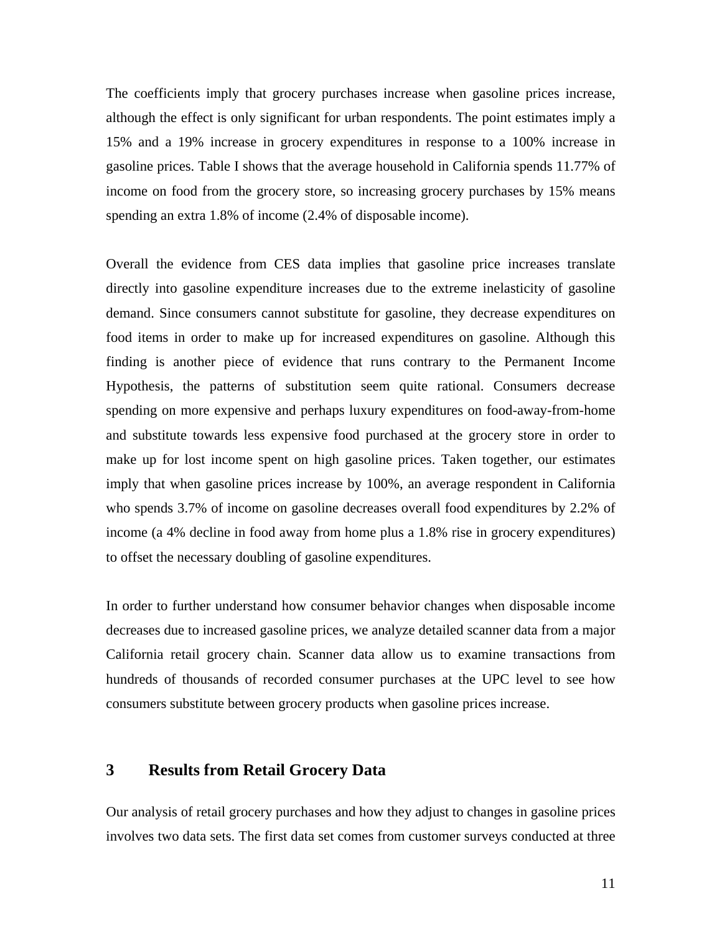The coefficients imply that grocery purchases increase when gasoline prices increase, although the effect is only significant for urban respondents. The point estimates imply a 15% and a 19% increase in grocery expenditures in response to a 100% increase in gasoline prices. Table I shows that the average household in California spends 11.77% of income on food from the grocery store, so increasing grocery purchases by 15% means spending an extra 1.8% of income (2.4% of disposable income).

Overall the evidence from CES data implies that gasoline price increases translate directly into gasoline expenditure increases due to the extreme inelasticity of gasoline demand. Since consumers cannot substitute for gasoline, they decrease expenditures on food items in order to make up for increased expenditures on gasoline. Although this finding is another piece of evidence that runs contrary to the Permanent Income Hypothesis, the patterns of substitution seem quite rational. Consumers decrease spending on more expensive and perhaps luxury expenditures on food-away-from-home and substitute towards less expensive food purchased at the grocery store in order to make up for lost income spent on high gasoline prices. Taken together, our estimates imply that when gasoline prices increase by 100%, an average respondent in California who spends 3.7% of income on gasoline decreases overall food expenditures by 2.2% of income (a 4% decline in food away from home plus a 1.8% rise in grocery expenditures) to offset the necessary doubling of gasoline expenditures.

In order to further understand how consumer behavior changes when disposable income decreases due to increased gasoline prices, we analyze detailed scanner data from a major California retail grocery chain. Scanner data allow us to examine transactions from hundreds of thousands of recorded consumer purchases at the UPC level to see how consumers substitute between grocery products when gasoline prices increase.

# **3 Results from Retail Grocery Data**

Our analysis of retail grocery purchases and how they adjust to changes in gasoline prices involves two data sets. The first data set comes from customer surveys conducted at three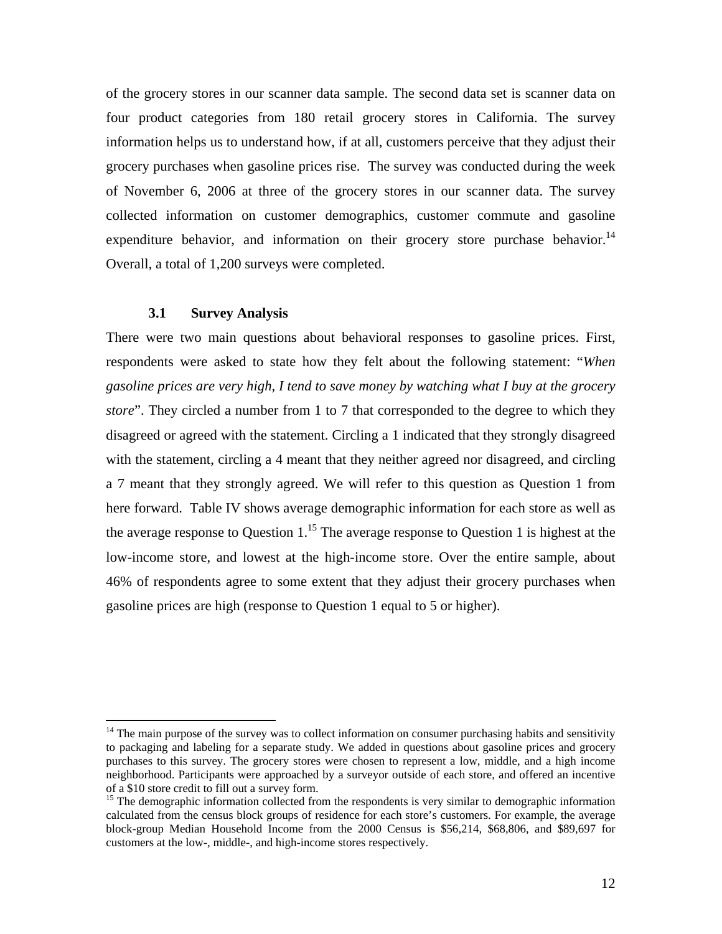of the grocery stores in our scanner data sample. The second data set is scanner data on four product categories from 180 retail grocery stores in California. The survey information helps us to understand how, if at all, customers perceive that they adjust their grocery purchases when gasoline prices rise. The survey was conducted during the week of November 6, 2006 at three of the grocery stores in our scanner data. The survey collected information on customer demographics, customer commute and gasoline expenditure behavior, and information on their grocery store purchase behavior.<sup>14</sup> Overall, a total of 1,200 surveys were completed.

#### **3.1 Survey Analysis**

1

There were two main questions about behavioral responses to gasoline prices. First, respondents were asked to state how they felt about the following statement: "*When gasoline prices are very high, I tend to save money by watching what I buy at the grocery store*". They circled a number from 1 to 7 that corresponded to the degree to which they disagreed or agreed with the statement. Circling a 1 indicated that they strongly disagreed with the statement, circling a 4 meant that they neither agreed nor disagreed, and circling a 7 meant that they strongly agreed. We will refer to this question as Question 1 from here forward. Table IV shows average demographic information for each store as well as the average response to Question  $1<sup>15</sup>$ . The average response to Question 1 is highest at the low-income store, and lowest at the high-income store. Over the entire sample, about 46% of respondents agree to some extent that they adjust their grocery purchases when gasoline prices are high (response to Question 1 equal to 5 or higher).

 $14$  The main purpose of the survey was to collect information on consumer purchasing habits and sensitivity to packaging and labeling for a separate study. We added in questions about gasoline prices and grocery purchases to this survey. The grocery stores were chosen to represent a low, middle, and a high income neighborhood. Participants were approached by a surveyor outside of each store, and offered an incentive of a \$10 store credit to fill out a survey form.

 $15$  The demographic information collected from the respondents is very similar to demographic information calculated from the census block groups of residence for each store's customers. For example, the average block-group Median Household Income from the 2000 Census is \$56,214, \$68,806, and \$89,697 for customers at the low-, middle-, and high-income stores respectively.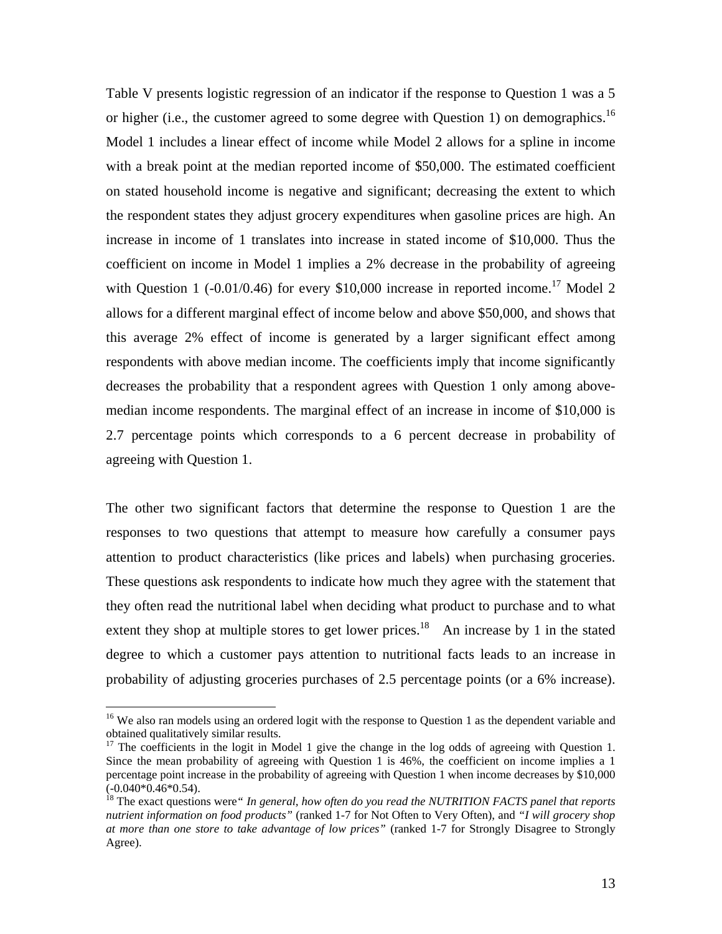Table V presents logistic regression of an indicator if the response to Question 1 was a 5 or higher (i.e., the customer agreed to some degree with Question 1) on demographics.<sup>16</sup> Model 1 includes a linear effect of income while Model 2 allows for a spline in income with a break point at the median reported income of \$50,000. The estimated coefficient on stated household income is negative and significant; decreasing the extent to which the respondent states they adjust grocery expenditures when gasoline prices are high. An increase in income of 1 translates into increase in stated income of \$10,000. Thus the coefficient on income in Model 1 implies a 2% decrease in the probability of agreeing with Question 1 (-0.01/0.46) for every \$10,000 increase in reported income.<sup>17</sup> Model 2 allows for a different marginal effect of income below and above \$50,000, and shows that this average 2% effect of income is generated by a larger significant effect among respondents with above median income. The coefficients imply that income significantly decreases the probability that a respondent agrees with Question 1 only among abovemedian income respondents. The marginal effect of an increase in income of \$10,000 is 2.7 percentage points which corresponds to a 6 percent decrease in probability of agreeing with Question 1.

The other two significant factors that determine the response to Question 1 are the responses to two questions that attempt to measure how carefully a consumer pays attention to product characteristics (like prices and labels) when purchasing groceries. These questions ask respondents to indicate how much they agree with the statement that they often read the nutritional label when deciding what product to purchase and to what extent they shop at multiple stores to get lower prices.<sup>18</sup> An increase by 1 in the stated degree to which a customer pays attention to nutritional facts leads to an increase in probability of adjusting groceries purchases of 2.5 percentage points (or a 6% increase).

 $\overline{a}$ 

<sup>&</sup>lt;sup>16</sup> We also ran models using an ordered logit with the response to Question 1 as the dependent variable and obtained qualitatively similar results.

<sup>&</sup>lt;sup>17</sup> The coefficients in the logit in Model 1 give the change in the log odds of agreeing with Question 1. Since the mean probability of agreeing with Question 1 is 46%, the coefficient on income implies a 1 percentage point increase in the probability of agreeing with Question 1 when income decreases by \$10,000  $(-0.040*0.46*0.54)$ .

<sup>&</sup>lt;sup>18</sup> The exact questions were "*In general, how often do you read the NUTRITION FACTS panel that reports nutrient information on food products"* (ranked 1-7 for Not Often to Very Often), and *"I will grocery shop at more than one store to take advantage of low prices"* (ranked 1-7 for Strongly Disagree to Strongly Agree).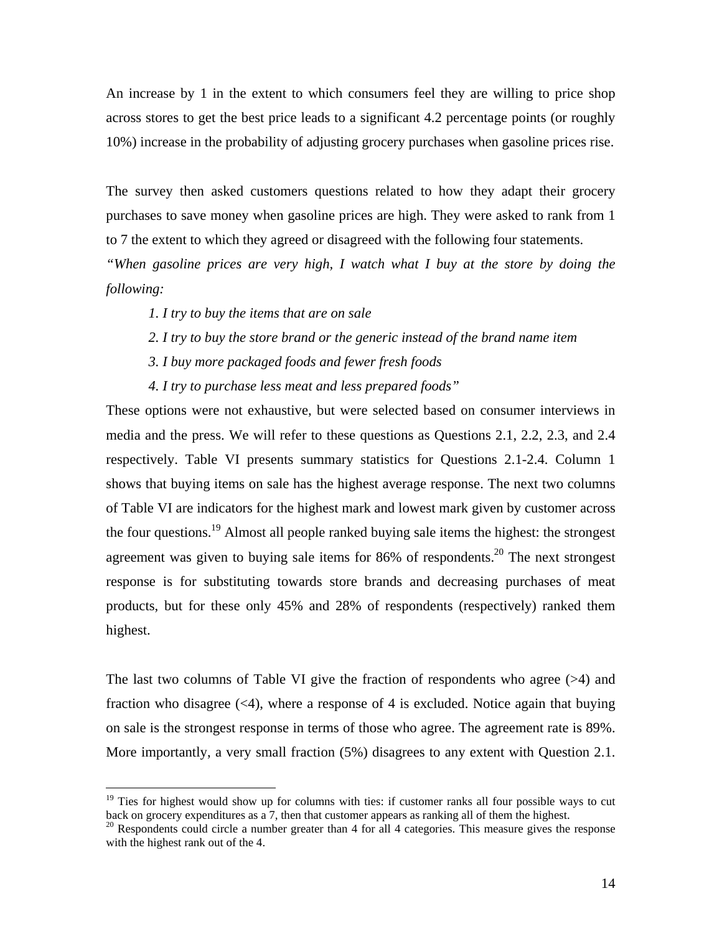An increase by 1 in the extent to which consumers feel they are willing to price shop across stores to get the best price leads to a significant 4.2 percentage points (or roughly 10%) increase in the probability of adjusting grocery purchases when gasoline prices rise.

The survey then asked customers questions related to how they adapt their grocery purchases to save money when gasoline prices are high. They were asked to rank from 1 to 7 the extent to which they agreed or disagreed with the following four statements.

*"When gasoline prices are very high, I watch what I buy at the store by doing the following:* 

 *1. I try to buy the items that are on sale* 

 $\overline{a}$ 

- *2. I try to buy the store brand or the generic instead of the brand name item*
- *3. I buy more packaged foods and fewer fresh foods*
- *4. I try to purchase less meat and less prepared foods"*

These options were not exhaustive, but were selected based on consumer interviews in media and the press. We will refer to these questions as Questions 2.1, 2.2, 2.3, and 2.4 respectively. Table VI presents summary statistics for Questions 2.1-2.4. Column 1 shows that buying items on sale has the highest average response. The next two columns of Table VI are indicators for the highest mark and lowest mark given by customer across the four questions.<sup>19</sup> Almost all people ranked buying sale items the highest: the strongest agreement was given to buying sale items for  $86\%$  of respondents.<sup>20</sup> The next strongest response is for substituting towards store brands and decreasing purchases of meat products, but for these only 45% and 28% of respondents (respectively) ranked them highest.

The last two columns of Table VI give the fraction of respondents who agree (>4) and fraction who disagree  $(\leq 4)$ , where a response of 4 is excluded. Notice again that buying on sale is the strongest response in terms of those who agree. The agreement rate is 89%. More importantly, a very small fraction (5%) disagrees to any extent with Question 2.1.

<sup>&</sup>lt;sup>19</sup> Ties for highest would show up for columns with ties: if customer ranks all four possible ways to cut back on grocery expenditures as a 7, then that customer appears as ranking all of them the highest.

 $20$  Respondents could circle a number greater than 4 for all 4 categories. This measure gives the response with the highest rank out of the 4.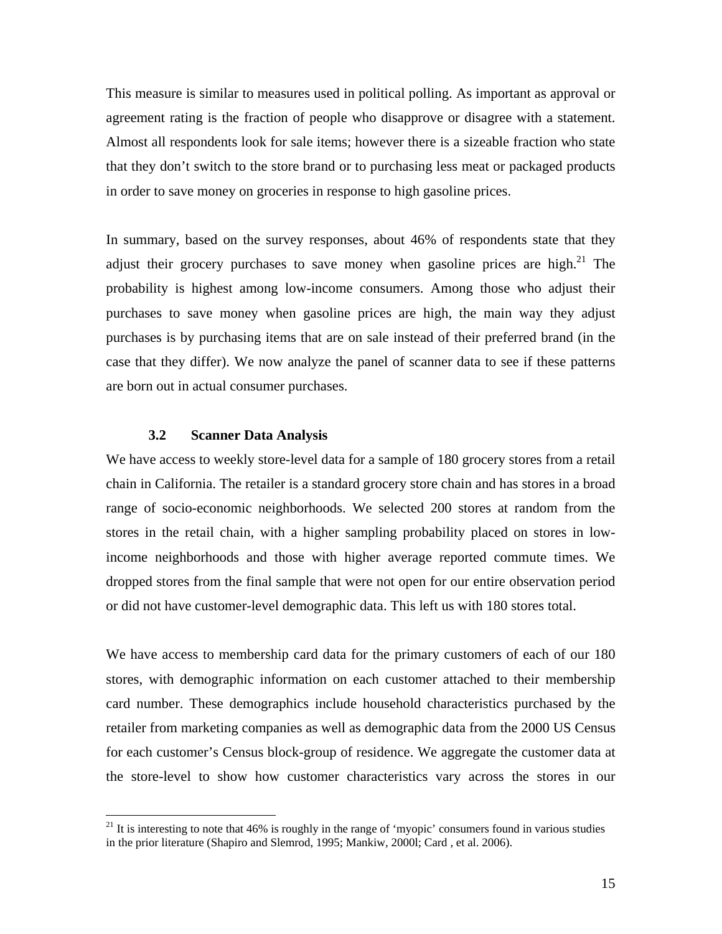This measure is similar to measures used in political polling. As important as approval or agreement rating is the fraction of people who disapprove or disagree with a statement. Almost all respondents look for sale items; however there is a sizeable fraction who state that they don't switch to the store brand or to purchasing less meat or packaged products in order to save money on groceries in response to high gasoline prices.

In summary, based on the survey responses, about 46% of respondents state that they adjust their grocery purchases to save money when gasoline prices are high. $^{21}$  The probability is highest among low-income consumers. Among those who adjust their purchases to save money when gasoline prices are high, the main way they adjust purchases is by purchasing items that are on sale instead of their preferred brand (in the case that they differ). We now analyze the panel of scanner data to see if these patterns are born out in actual consumer purchases.

#### **3.2 Scanner Data Analysis**

 $\overline{a}$ 

We have access to weekly store-level data for a sample of 180 grocery stores from a retail chain in California. The retailer is a standard grocery store chain and has stores in a broad range of socio-economic neighborhoods. We selected 200 stores at random from the stores in the retail chain, with a higher sampling probability placed on stores in lowincome neighborhoods and those with higher average reported commute times. We dropped stores from the final sample that were not open for our entire observation period or did not have customer-level demographic data. This left us with 180 stores total.

We have access to membership card data for the primary customers of each of our 180 stores, with demographic information on each customer attached to their membership card number. These demographics include household characteristics purchased by the retailer from marketing companies as well as demographic data from the 2000 US Census for each customer's Census block-group of residence. We aggregate the customer data at the store-level to show how customer characteristics vary across the stores in our

 $21$  It is interesting to note that 46% is roughly in the range of 'myopic' consumers found in various studies in the prior literature (Shapiro and Slemrod, 1995; Mankiw, 2000l; Card , et al. 2006).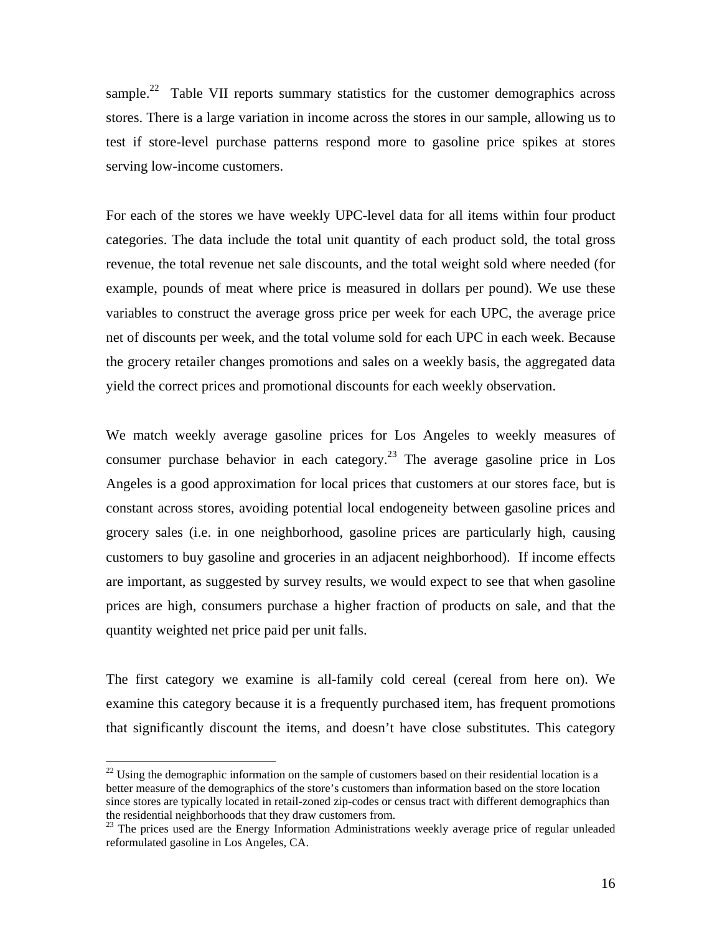sample.<sup>22</sup> Table VII reports summary statistics for the customer demographics across stores. There is a large variation in income across the stores in our sample, allowing us to test if store-level purchase patterns respond more to gasoline price spikes at stores serving low-income customers.

For each of the stores we have weekly UPC-level data for all items within four product categories. The data include the total unit quantity of each product sold, the total gross revenue, the total revenue net sale discounts, and the total weight sold where needed (for example, pounds of meat where price is measured in dollars per pound). We use these variables to construct the average gross price per week for each UPC, the average price net of discounts per week, and the total volume sold for each UPC in each week. Because the grocery retailer changes promotions and sales on a weekly basis, the aggregated data yield the correct prices and promotional discounts for each weekly observation.

We match weekly average gasoline prices for Los Angeles to weekly measures of consumer purchase behavior in each category.<sup>23</sup> The average gasoline price in Los Angeles is a good approximation for local prices that customers at our stores face, but is constant across stores, avoiding potential local endogeneity between gasoline prices and grocery sales (i.e. in one neighborhood, gasoline prices are particularly high, causing customers to buy gasoline and groceries in an adjacent neighborhood). If income effects are important, as suggested by survey results, we would expect to see that when gasoline prices are high, consumers purchase a higher fraction of products on sale, and that the quantity weighted net price paid per unit falls.

The first category we examine is all-family cold cereal (cereal from here on). We examine this category because it is a frequently purchased item, has frequent promotions that significantly discount the items, and doesn't have close substitutes. This category

 $\overline{a}$ 

 $^{22}$  Using the demographic information on the sample of customers based on their residential location is a better measure of the demographics of the store's customers than information based on the store location since stores are typically located in retail-zoned zip-codes or census tract with different demographics than the residential neighborhoods that they draw customers from.

<sup>&</sup>lt;sup>23</sup> The prices used are the Energy Information Administrations weekly average price of regular unleaded reformulated gasoline in Los Angeles, CA.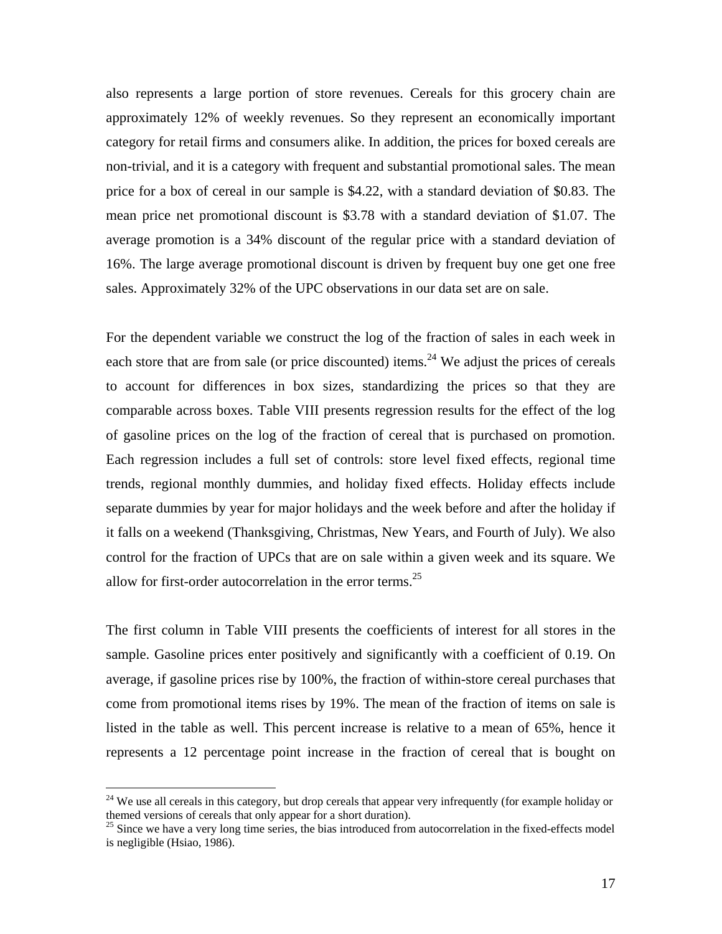also represents a large portion of store revenues. Cereals for this grocery chain are approximately 12% of weekly revenues. So they represent an economically important category for retail firms and consumers alike. In addition, the prices for boxed cereals are non-trivial, and it is a category with frequent and substantial promotional sales. The mean price for a box of cereal in our sample is \$4.22, with a standard deviation of \$0.83. The mean price net promotional discount is \$3.78 with a standard deviation of \$1.07. The average promotion is a 34% discount of the regular price with a standard deviation of 16%. The large average promotional discount is driven by frequent buy one get one free sales. Approximately 32% of the UPC observations in our data set are on sale.

For the dependent variable we construct the log of the fraction of sales in each week in each store that are from sale (or price discounted) items.<sup>24</sup> We adjust the prices of cereals to account for differences in box sizes, standardizing the prices so that they are comparable across boxes. Table VIII presents regression results for the effect of the log of gasoline prices on the log of the fraction of cereal that is purchased on promotion. Each regression includes a full set of controls: store level fixed effects, regional time trends, regional monthly dummies, and holiday fixed effects. Holiday effects include separate dummies by year for major holidays and the week before and after the holiday if it falls on a weekend (Thanksgiving, Christmas, New Years, and Fourth of July). We also control for the fraction of UPCs that are on sale within a given week and its square. We allow for first-order autocorrelation in the error terms.<sup>25</sup>

The first column in Table VIII presents the coefficients of interest for all stores in the sample. Gasoline prices enter positively and significantly with a coefficient of 0.19. On average, if gasoline prices rise by 100%, the fraction of within-store cereal purchases that come from promotional items rises by 19%. The mean of the fraction of items on sale is listed in the table as well. This percent increase is relative to a mean of 65%, hence it represents a 12 percentage point increase in the fraction of cereal that is bought on

 $\overline{a}$ 

 $^{24}$  We use all cereals in this category, but drop cereals that appear very infrequently (for example holiday or themed versions of cereals that only appear for a short duration).

 $25$  Since we have a very long time series, the bias introduced from autocorrelation in the fixed-effects model is negligible (Hsiao, 1986).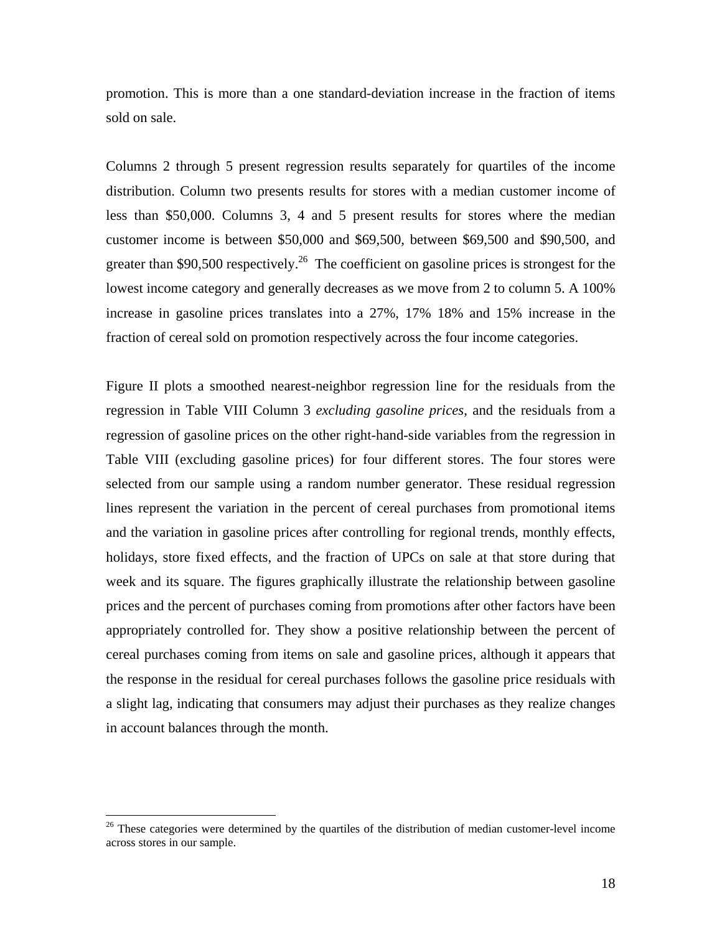promotion. This is more than a one standard-deviation increase in the fraction of items sold on sale.

Columns 2 through 5 present regression results separately for quartiles of the income distribution. Column two presents results for stores with a median customer income of less than \$50,000. Columns 3, 4 and 5 present results for stores where the median customer income is between \$50,000 and \$69,500, between \$69,500 and \$90,500, and greater than \$90,500 respectively.<sup>26</sup> The coefficient on gasoline prices is strongest for the lowest income category and generally decreases as we move from 2 to column 5. A 100% increase in gasoline prices translates into a 27%, 17% 18% and 15% increase in the fraction of cereal sold on promotion respectively across the four income categories.

Figure II plots a smoothed nearest-neighbor regression line for the residuals from the regression in Table VIII Column 3 *excluding gasoline prices*, and the residuals from a regression of gasoline prices on the other right-hand-side variables from the regression in Table VIII (excluding gasoline prices) for four different stores. The four stores were selected from our sample using a random number generator. These residual regression lines represent the variation in the percent of cereal purchases from promotional items and the variation in gasoline prices after controlling for regional trends, monthly effects, holidays, store fixed effects, and the fraction of UPCs on sale at that store during that week and its square. The figures graphically illustrate the relationship between gasoline prices and the percent of purchases coming from promotions after other factors have been appropriately controlled for. They show a positive relationship between the percent of cereal purchases coming from items on sale and gasoline prices, although it appears that the response in the residual for cereal purchases follows the gasoline price residuals with a slight lag, indicating that consumers may adjust their purchases as they realize changes in account balances through the month.

1

 $26$  These categories were determined by the quartiles of the distribution of median customer-level income across stores in our sample.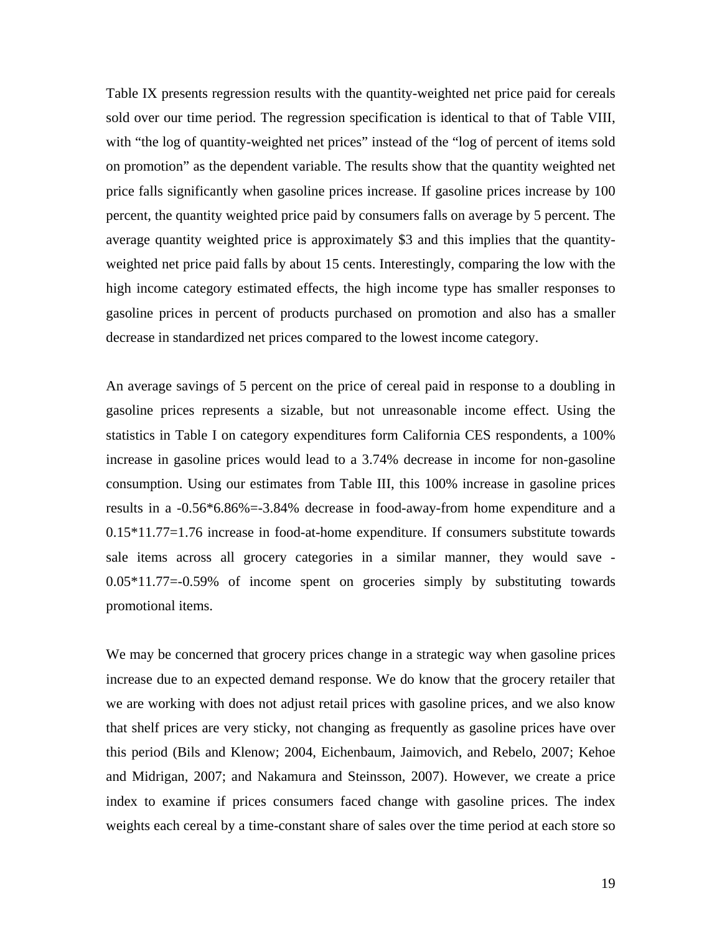Table IX presents regression results with the quantity-weighted net price paid for cereals sold over our time period. The regression specification is identical to that of Table VIII, with "the log of quantity-weighted net prices" instead of the "log of percent of items sold on promotion" as the dependent variable. The results show that the quantity weighted net price falls significantly when gasoline prices increase. If gasoline prices increase by 100 percent, the quantity weighted price paid by consumers falls on average by 5 percent. The average quantity weighted price is approximately \$3 and this implies that the quantityweighted net price paid falls by about 15 cents. Interestingly, comparing the low with the high income category estimated effects, the high income type has smaller responses to gasoline prices in percent of products purchased on promotion and also has a smaller decrease in standardized net prices compared to the lowest income category.

An average savings of 5 percent on the price of cereal paid in response to a doubling in gasoline prices represents a sizable, but not unreasonable income effect. Using the statistics in Table I on category expenditures form California CES respondents, a 100% increase in gasoline prices would lead to a 3.74% decrease in income for non-gasoline consumption. Using our estimates from Table III, this 100% increase in gasoline prices results in a -0.56\*6.86%=-3.84% decrease in food-away-from home expenditure and a 0.15\*11.77=1.76 increase in food-at-home expenditure. If consumers substitute towards sale items across all grocery categories in a similar manner, they would save - 0.05\*11.77=-0.59% of income spent on groceries simply by substituting towards promotional items.

We may be concerned that grocery prices change in a strategic way when gasoline prices increase due to an expected demand response. We do know that the grocery retailer that we are working with does not adjust retail prices with gasoline prices, and we also know that shelf prices are very sticky, not changing as frequently as gasoline prices have over this period (Bils and Klenow; 2004, Eichenbaum, Jaimovich, and Rebelo, 2007; Kehoe and Midrigan, 2007; and Nakamura and Steinsson, 2007). However, we create a price index to examine if prices consumers faced change with gasoline prices. The index weights each cereal by a time-constant share of sales over the time period at each store so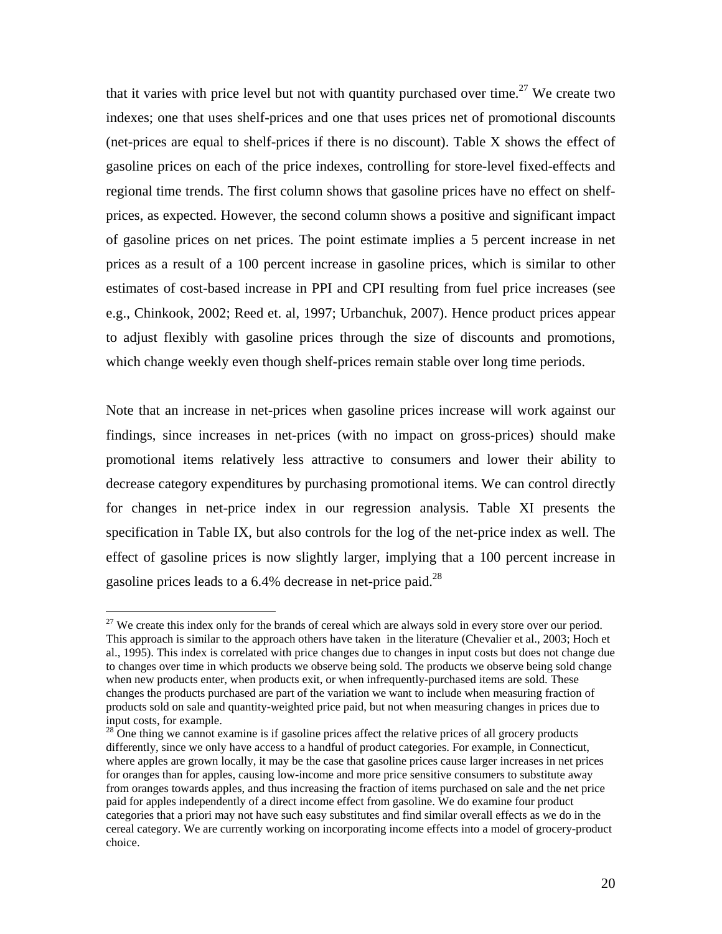that it varies with price level but not with quantity purchased over time.<sup>27</sup> We create two indexes; one that uses shelf-prices and one that uses prices net of promotional discounts (net-prices are equal to shelf-prices if there is no discount). Table X shows the effect of gasoline prices on each of the price indexes, controlling for store-level fixed-effects and regional time trends. The first column shows that gasoline prices have no effect on shelfprices, as expected. However, the second column shows a positive and significant impact of gasoline prices on net prices. The point estimate implies a 5 percent increase in net prices as a result of a 100 percent increase in gasoline prices, which is similar to other estimates of cost-based increase in PPI and CPI resulting from fuel price increases (see e.g., Chinkook, 2002; Reed et. al, 1997; Urbanchuk, 2007). Hence product prices appear to adjust flexibly with gasoline prices through the size of discounts and promotions, which change weekly even though shelf-prices remain stable over long time periods.

Note that an increase in net-prices when gasoline prices increase will work against our findings, since increases in net-prices (with no impact on gross-prices) should make promotional items relatively less attractive to consumers and lower their ability to decrease category expenditures by purchasing promotional items. We can control directly for changes in net-price index in our regression analysis. Table XI presents the specification in Table IX, but also controls for the log of the net-price index as well. The effect of gasoline prices is now slightly larger, implying that a 100 percent increase in gasoline prices leads to a  $6.4\%$  decrease in net-price paid.<sup>28</sup>

 $\overline{a}$ 

<sup>&</sup>lt;sup>27</sup> We create this index only for the brands of cereal which are always sold in every store over our period. This approach is similar to the approach others have taken in the literature (Chevalier et al., 2003; Hoch et al., 1995). This index is correlated with price changes due to changes in input costs but does not change due to changes over time in which products we observe being sold. The products we observe being sold change when new products enter, when products exit, or when infrequently-purchased items are sold. These changes the products purchased are part of the variation we want to include when measuring fraction of products sold on sale and quantity-weighted price paid, but not when measuring changes in prices due to input costs, for example.

 $28^{\circ}$  One thing we cannot examine is if gasoline prices affect the relative prices of all grocery products differently, since we only have access to a handful of product categories. For example, in Connecticut, where apples are grown locally, it may be the case that gasoline prices cause larger increases in net prices for oranges than for apples, causing low-income and more price sensitive consumers to substitute away from oranges towards apples, and thus increasing the fraction of items purchased on sale and the net price paid for apples independently of a direct income effect from gasoline. We do examine four product categories that a priori may not have such easy substitutes and find similar overall effects as we do in the cereal category. We are currently working on incorporating income effects into a model of grocery-product choice.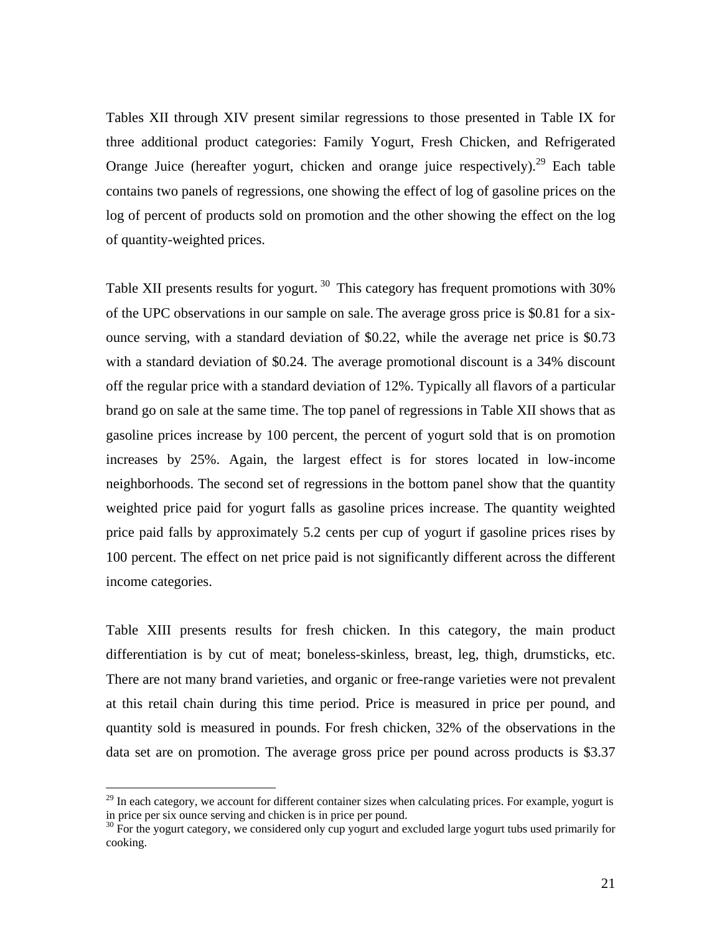Tables XII through XIV present similar regressions to those presented in Table IX for three additional product categories: Family Yogurt, Fresh Chicken, and Refrigerated Orange Juice (hereafter yogurt, chicken and orange juice respectively).<sup>29</sup> Each table contains two panels of regressions, one showing the effect of log of gasoline prices on the log of percent of products sold on promotion and the other showing the effect on the log of quantity-weighted prices.

Table XII presents results for yogurt.<sup>30</sup> This category has frequent promotions with 30% of the UPC observations in our sample on sale. The average gross price is \$0.81 for a sixounce serving, with a standard deviation of \$0.22, while the average net price is \$0.73 with a standard deviation of \$0.24. The average promotional discount is a 34% discount off the regular price with a standard deviation of 12%. Typically all flavors of a particular brand go on sale at the same time. The top panel of regressions in Table XII shows that as gasoline prices increase by 100 percent, the percent of yogurt sold that is on promotion increases by 25%. Again, the largest effect is for stores located in low-income neighborhoods. The second set of regressions in the bottom panel show that the quantity weighted price paid for yogurt falls as gasoline prices increase. The quantity weighted price paid falls by approximately 5.2 cents per cup of yogurt if gasoline prices rises by 100 percent. The effect on net price paid is not significantly different across the different income categories.

Table XIII presents results for fresh chicken. In this category, the main product differentiation is by cut of meat; boneless-skinless, breast, leg, thigh, drumsticks, etc. There are not many brand varieties, and organic or free-range varieties were not prevalent at this retail chain during this time period. Price is measured in price per pound, and quantity sold is measured in pounds. For fresh chicken, 32% of the observations in the data set are on promotion. The average gross price per pound across products is \$3.37

 $\overline{a}$ 

 $^{29}$  In each category, we account for different container sizes when calculating prices. For example, yogurt is in price per six ounce serving and chicken is in price per pound.

<sup>&</sup>lt;sup>30</sup> For the yogurt category, we considered only cup yogurt and excluded large yogurt tubs used primarily for cooking.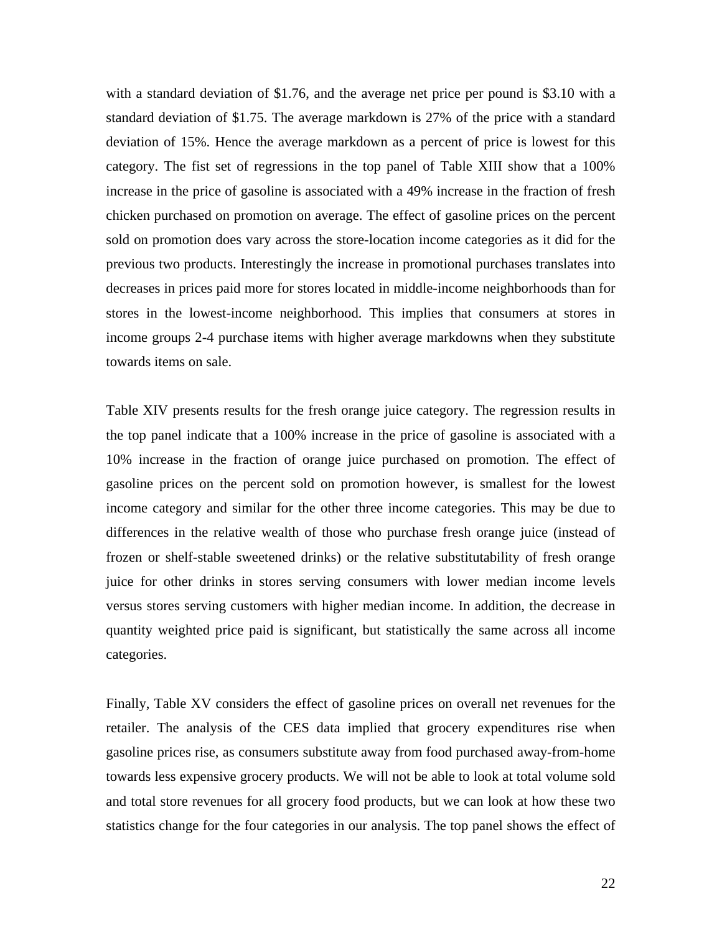with a standard deviation of \$1.76, and the average net price per pound is \$3.10 with a standard deviation of \$1.75. The average markdown is 27% of the price with a standard deviation of 15%. Hence the average markdown as a percent of price is lowest for this category. The fist set of regressions in the top panel of Table XIII show that a 100% increase in the price of gasoline is associated with a 49% increase in the fraction of fresh chicken purchased on promotion on average. The effect of gasoline prices on the percent sold on promotion does vary across the store-location income categories as it did for the previous two products. Interestingly the increase in promotional purchases translates into decreases in prices paid more for stores located in middle-income neighborhoods than for stores in the lowest-income neighborhood. This implies that consumers at stores in income groups 2-4 purchase items with higher average markdowns when they substitute towards items on sale.

Table XIV presents results for the fresh orange juice category. The regression results in the top panel indicate that a 100% increase in the price of gasoline is associated with a 10% increase in the fraction of orange juice purchased on promotion. The effect of gasoline prices on the percent sold on promotion however, is smallest for the lowest income category and similar for the other three income categories. This may be due to differences in the relative wealth of those who purchase fresh orange juice (instead of frozen or shelf-stable sweetened drinks) or the relative substitutability of fresh orange juice for other drinks in stores serving consumers with lower median income levels versus stores serving customers with higher median income. In addition, the decrease in quantity weighted price paid is significant, but statistically the same across all income categories.

Finally, Table XV considers the effect of gasoline prices on overall net revenues for the retailer. The analysis of the CES data implied that grocery expenditures rise when gasoline prices rise, as consumers substitute away from food purchased away-from-home towards less expensive grocery products. We will not be able to look at total volume sold and total store revenues for all grocery food products, but we can look at how these two statistics change for the four categories in our analysis. The top panel shows the effect of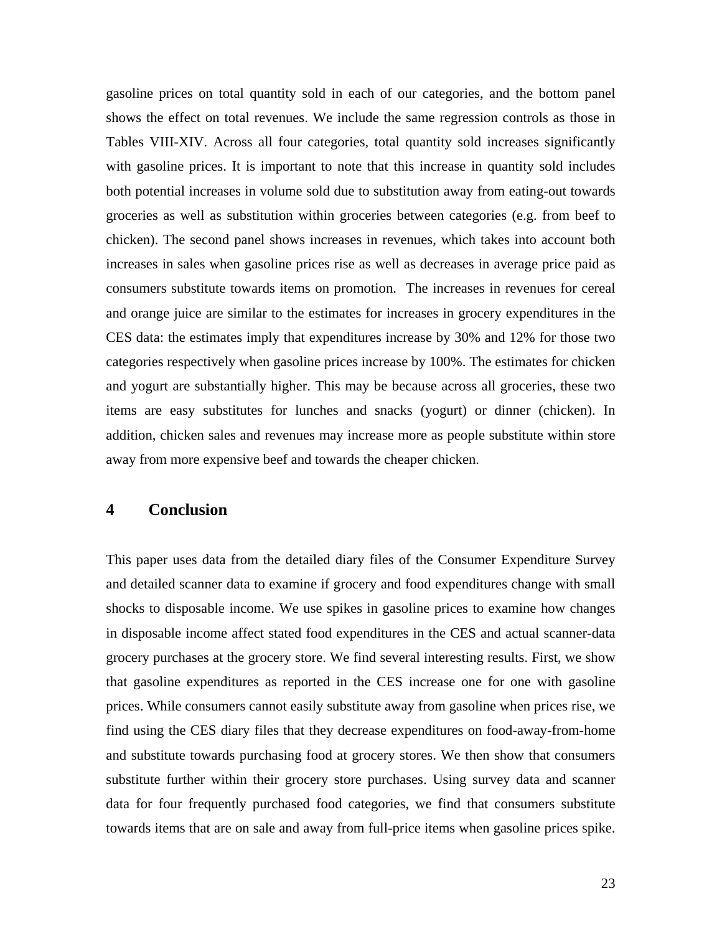gasoline prices on total quantity sold in each of our categories, and the bottom panel shows the effect on total revenues. We include the same regression controls as those in Tables VIII-XIV. Across all four categories, total quantity sold increases significantly with gasoline prices. It is important to note that this increase in quantity sold includes both potential increases in volume sold due to substitution away from eating-out towards groceries as well as substitution within groceries between categories (e.g. from beef to chicken). The second panel shows increases in revenues, which takes into account both increases in sales when gasoline prices rise as well as decreases in average price paid as consumers substitute towards items on promotion. The increases in revenues for cereal and orange juice are similar to the estimates for increases in grocery expenditures in the CES data: the estimates imply that expenditures increase by 30% and 12% for those two categories respectively when gasoline prices increase by 100%. The estimates for chicken and yogurt are substantially higher. This may be because across all groceries, these two items are easy substitutes for lunches and snacks (yogurt) or dinner (chicken). In addition, chicken sales and revenues may increase more as people substitute within store away from more expensive beef and towards the cheaper chicken.

## **4 Conclusion**

This paper uses data from the detailed diary files of the Consumer Expenditure Survey and detailed scanner data to examine if grocery and food expenditures change with small shocks to disposable income. We use spikes in gasoline prices to examine how changes in disposable income affect stated food expenditures in the CES and actual scanner-data grocery purchases at the grocery store. We find several interesting results. First, we show that gasoline expenditures as reported in the CES increase one for one with gasoline prices. While consumers cannot easily substitute away from gasoline when prices rise, we find using the CES diary files that they decrease expenditures on food-away-from-home and substitute towards purchasing food at grocery stores. We then show that consumers substitute further within their grocery store purchases. Using survey data and scanner data for four frequently purchased food categories, we find that consumers substitute towards items that are on sale and away from full-price items when gasoline prices spike.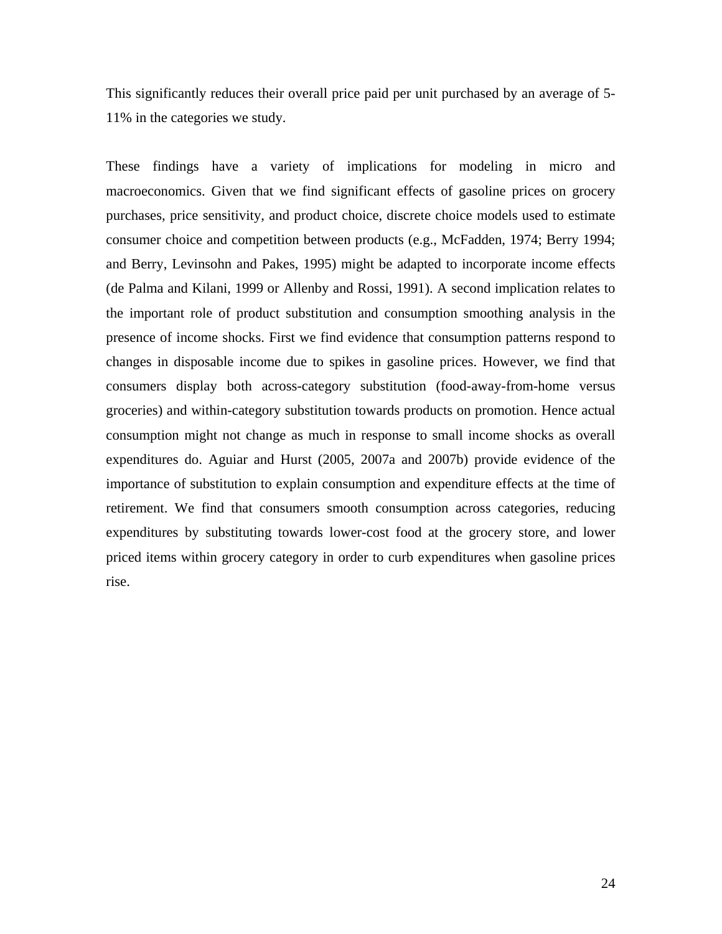This significantly reduces their overall price paid per unit purchased by an average of 5- 11% in the categories we study.

These findings have a variety of implications for modeling in micro and macroeconomics. Given that we find significant effects of gasoline prices on grocery purchases, price sensitivity, and product choice, discrete choice models used to estimate consumer choice and competition between products (e.g., McFadden, 1974; Berry 1994; and Berry, Levinsohn and Pakes, 1995) might be adapted to incorporate income effects (de Palma and Kilani, 1999 or Allenby and Rossi, 1991). A second implication relates to the important role of product substitution and consumption smoothing analysis in the presence of income shocks. First we find evidence that consumption patterns respond to changes in disposable income due to spikes in gasoline prices. However, we find that consumers display both across-category substitution (food-away-from-home versus groceries) and within-category substitution towards products on promotion. Hence actual consumption might not change as much in response to small income shocks as overall expenditures do. Aguiar and Hurst (2005, 2007a and 2007b) provide evidence of the importance of substitution to explain consumption and expenditure effects at the time of retirement. We find that consumers smooth consumption across categories, reducing expenditures by substituting towards lower-cost food at the grocery store, and lower priced items within grocery category in order to curb expenditures when gasoline prices rise.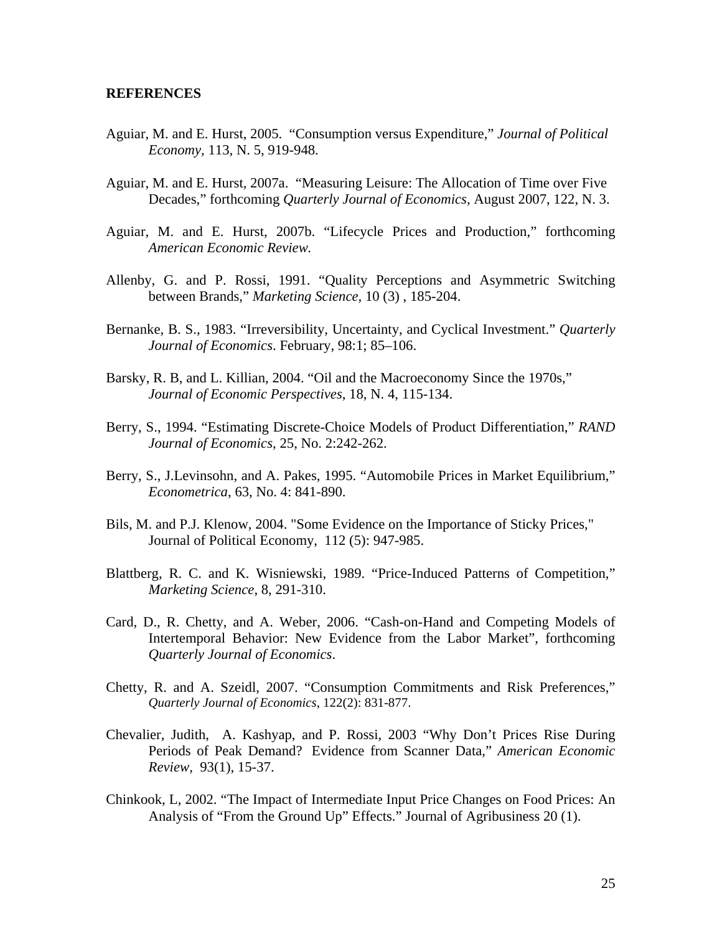#### **REFERENCES**

- Aguiar, M. and E. Hurst, 2005. "Consumption versus Expenditure," *Journal of Political Economy,* 113, N. 5, 919-948.
- Aguiar, M. and E. Hurst, 2007a. "Measuring Leisure: The Allocation of Time over Five Decades," forthcoming *Quarterly Journal of Economics,* August 2007, 122, N. 3.
- Aguiar, M. and E. Hurst, 2007b. "Lifecycle Prices and Production," forthcoming *American Economic Review.*
- Allenby, G. and P. Rossi, 1991. "Quality Perceptions and Asymmetric Switching between Brands," *Marketing Science,* 10 (3) , 185-204.
- Bernanke, B. S., 1983. "Irreversibility, Uncertainty, and Cyclical Investment." *Quarterly Journal of Economics*. February, 98:1; 85–106.
- Barsky, R. B, and L. Killian, 2004. "Oil and the Macroeconomy Since the 1970s," *Journal of Economic Perspectives*, 18, N. 4, 115-134.
- Berry, S., 1994. "Estimating Discrete-Choice Models of Product Differentiation," *RAND Journal of Economics*, 25, No. 2:242-262.
- Berry, S., J.Levinsohn, and A. Pakes, 1995. "Automobile Prices in Market Equilibrium," *Econometrica*, 63, No. 4: 841-890.
- Bils, M. and P.J. Klenow, 2004. "Some Evidence on the Importance of Sticky Prices," Journal of Political Economy, 112 (5): 947-985.
- Blattberg, R. C. and K. Wisniewski, 1989. "Price-Induced Patterns of Competition," *Marketing Science*, 8, 291-310.
- Card, D., R. Chetty, and A. Weber, 2006. "Cash-on-Hand and Competing Models of Intertemporal Behavior: New Evidence from the Labor Market", forthcoming *Quarterly Journal of Economics*.
- Chetty, R. and A. Szeidl, 2007. "Consumption Commitments and Risk Preferences," *Quarterly Journal of Economics*, 122(2): 831-877.
- Chevalier, Judith, A. Kashyap, and P. Rossi, 2003 "Why Don't Prices Rise During Periods of Peak Demand? Evidence from Scanner Data," *American Economic Review,* 93(1), 15-37.
- Chinkook, L, 2002. "The Impact of Intermediate Input Price Changes on Food Prices: An Analysis of "From the Ground Up" Effects." Journal of Agribusiness 20 (1).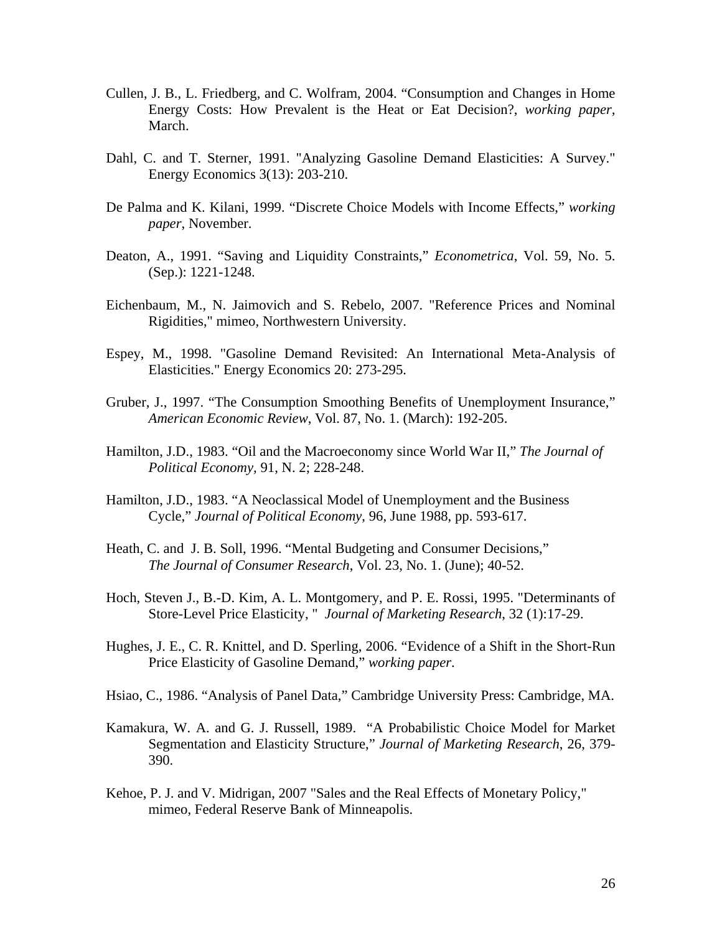- Cullen, J. B., L. Friedberg, and C. Wolfram, 2004. "Consumption and Changes in Home Energy Costs: How Prevalent is the Heat or Eat Decision?, *working paper,*  March.
- Dahl, C. and T. Sterner, 1991. "Analyzing Gasoline Demand Elasticities: A Survey." Energy Economics 3(13): 203-210.
- De Palma and K. Kilani, 1999. "Discrete Choice Models with Income Effects," *working paper*, November.
- Deaton, A., 1991. "Saving and Liquidity Constraints," *Econometrica*, Vol. 59, No. 5. (Sep.): 1221-1248.
- Eichenbaum, M., N. Jaimovich and S. Rebelo, 2007. "Reference Prices and Nominal Rigidities," mimeo, Northwestern University.
- Espey, M., 1998. "Gasoline Demand Revisited: An International Meta-Analysis of Elasticities." Energy Economics 20: 273-295.
- Gruber, J., 1997. "The Consumption Smoothing Benefits of Unemployment Insurance," *American Economic Review*, Vol. 87, No. 1. (March): 192-205.
- Hamilton, J.D., 1983. "Oil and the Macroeconomy since World War II," *The Journal of Political Economy,* 91, N. 2; 228-248.
- Hamilton, J.D., 1983. "A Neoclassical Model of Unemployment and the Business Cycle," *Journal of Political Economy*, 96, June 1988, pp. 593-617.
- Heath, C. and J. B. Soll, 1996. "Mental Budgeting and Consumer Decisions," *The Journal of Consumer Research*, Vol. 23, No. 1. (June); 40-52.
- Hoch, Steven J., B.-D. Kim, A. L. Montgomery, and P. E. Rossi, 1995. "Determinants of Store-Level Price Elasticity, " *Journal of Marketing Research*, 32 (1):17-29.
- Hughes, J. E., C. R. Knittel, and D. Sperling, 2006. "Evidence of a Shift in the Short-Run Price Elasticity of Gasoline Demand," *working paper*.
- Hsiao, C., 1986. "Analysis of Panel Data," Cambridge University Press: Cambridge, MA.
- Kamakura, W. A. and G. J. Russell, 1989. "A Probabilistic Choice Model for Market Segmentation and Elasticity Structure," *Journal of Marketing Research*, 26, 379- 390.
- Kehoe, P. J. and V. Midrigan, 2007 "Sales and the Real Effects of Monetary Policy," mimeo, Federal Reserve Bank of Minneapolis.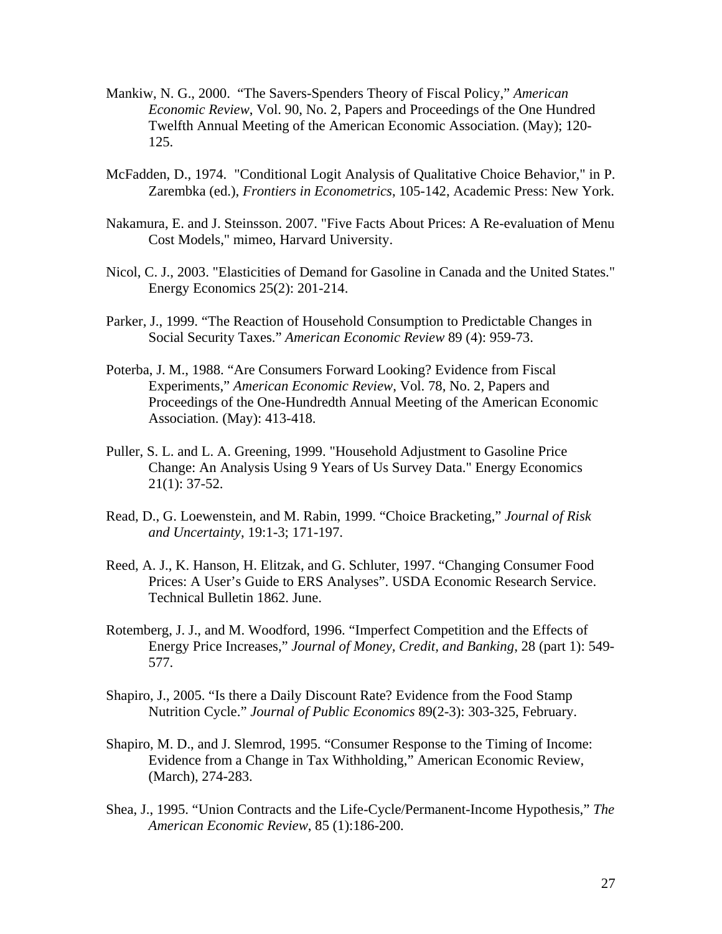- Mankiw, N. G., 2000. "The Savers-Spenders Theory of Fiscal Policy," *American Economic Review*, Vol. 90, No. 2, Papers and Proceedings of the One Hundred Twelfth Annual Meeting of the American Economic Association. (May); 120- 125.
- McFadden, D., 1974. "Conditional Logit Analysis of Qualitative Choice Behavior," in P. Zarembka (ed.), *Frontiers in Econometrics*, 105-142, Academic Press: New York.
- Nakamura, E. and J. Steinsson. 2007. "Five Facts About Prices: A Re-evaluation of Menu Cost Models," mimeo, Harvard University.
- Nicol, C. J., 2003. "Elasticities of Demand for Gasoline in Canada and the United States." Energy Economics 25(2): 201-214.
- Parker, J., 1999. "The Reaction of Household Consumption to Predictable Changes in Social Security Taxes." *American Economic Review* 89 (4): 959-73.
- Poterba, J. M., 1988. "Are Consumers Forward Looking? Evidence from Fiscal Experiments," *American Economic Review*, Vol. 78, No. 2, Papers and Proceedings of the One-Hundredth Annual Meeting of the American Economic Association. (May): 413-418.
- Puller, S. L. and L. A. Greening, 1999. "Household Adjustment to Gasoline Price Change: An Analysis Using 9 Years of Us Survey Data." Energy Economics 21(1): 37-52.
- Read, D., G. Loewenstein, and M. Rabin, 1999. "Choice Bracketing," *Journal of Risk and Uncertainty*, 19:1-3; 171-197.
- Reed, A. J., K. Hanson, H. Elitzak, and G. Schluter, 1997. "Changing Consumer Food Prices: A User's Guide to ERS Analyses". USDA Economic Research Service. Technical Bulletin 1862. June.
- Rotemberg, J. J., and M. Woodford, 1996. "Imperfect Competition and the Effects of Energy Price Increases," *Journal of Money, Credit, and Banking*, 28 (part 1): 549- 577.
- Shapiro, J., 2005. "Is there a Daily Discount Rate? Evidence from the Food Stamp Nutrition Cycle." *Journal of Public Economics* 89(2-3): 303-325, February.
- Shapiro, M. D., and J. Slemrod, 1995. "Consumer Response to the Timing of Income: Evidence from a Change in Tax Withholding," American Economic Review, (March), 274-283.
- Shea, J., 1995. "Union Contracts and the Life-Cycle/Permanent-Income Hypothesis," *The American Economic Review*, 85 (1):186-200.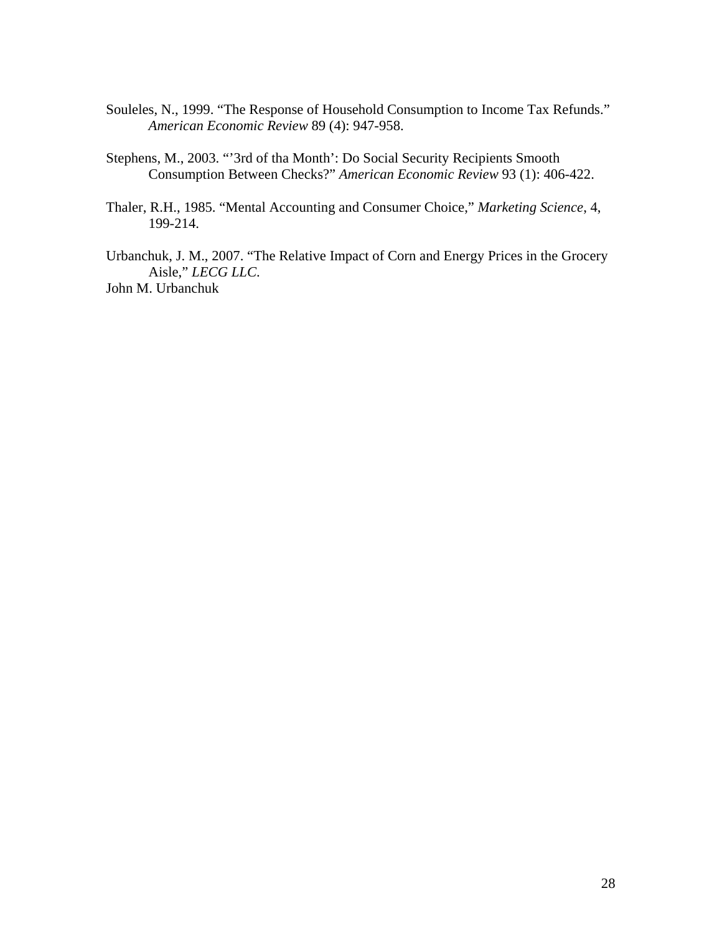- Souleles, N., 1999. "The Response of Household Consumption to Income Tax Refunds." *American Economic Review* 89 (4): 947-958.
- Stephens, M., 2003. "'3rd of tha Month': Do Social Security Recipients Smooth Consumption Between Checks?" *American Economic Review* 93 (1): 406-422.
- Thaler, R.H., 1985. "Mental Accounting and Consumer Choice," *Marketing Science*, 4, 199-214.

Urbanchuk, J. M., 2007. "The Relative Impact of Corn and Energy Prices in the Grocery Aisle," *LECG LLC*. John M. Urbanchuk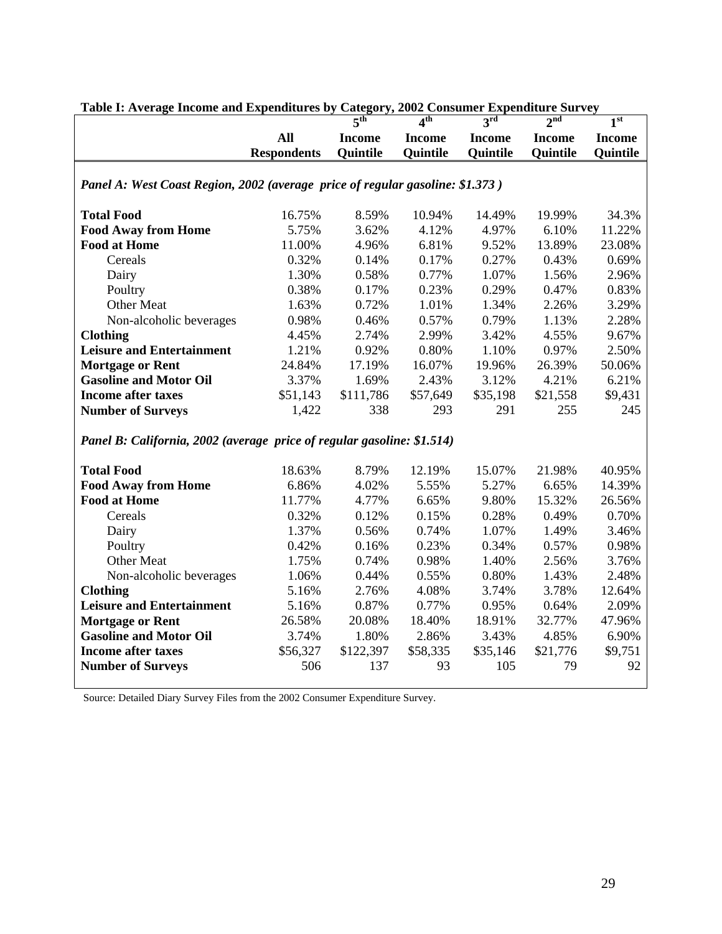|                                                                               |                    | 5 <sup>th</sup> | 4 <sup>th</sup> | 3 <sup>rd</sup> | 2 <sup>nd</sup> | 1 <sup>st</sup> |  |  |  |
|-------------------------------------------------------------------------------|--------------------|-----------------|-----------------|-----------------|-----------------|-----------------|--|--|--|
|                                                                               | <b>All</b>         | <b>Income</b>   | <b>Income</b>   | <b>Income</b>   | <b>Income</b>   | <b>Income</b>   |  |  |  |
|                                                                               | <b>Respondents</b> | Quintile        | Quintile        | <b>Quintile</b> | Quintile        | <b>Quintile</b> |  |  |  |
|                                                                               |                    |                 |                 |                 |                 |                 |  |  |  |
| Panel A: West Coast Region, 2002 (average price of regular gasoline: \$1.373) |                    |                 |                 |                 |                 |                 |  |  |  |
| <b>Total Food</b>                                                             | 16.75%             | 8.59%           | 10.94%          | 14.49%          | 19.99%          | 34.3%           |  |  |  |
| <b>Food Away from Home</b>                                                    | 5.75%              | 3.62%           | 4.12%           | 4.97%           | 6.10%           | 11.22%          |  |  |  |
| <b>Food at Home</b>                                                           | 11.00%             | 4.96%           | 6.81%           | 9.52%           | 13.89%          | 23.08%          |  |  |  |
| Cereals                                                                       | 0.32%              | 0.14%           | 0.17%           | 0.27%           | 0.43%           | 0.69%           |  |  |  |
| Dairy                                                                         | 1.30%              | 0.58%           | 0.77%           | 1.07%           | 1.56%           | 2.96%           |  |  |  |
| Poultry                                                                       | 0.38%              | 0.17%           | 0.23%           | 0.29%           | 0.47%           | 0.83%           |  |  |  |
| <b>Other Meat</b>                                                             | 1.63%              | 0.72%           | 1.01%           | 1.34%           | 2.26%           | 3.29%           |  |  |  |
| Non-alcoholic beverages                                                       | 0.98%              | 0.46%           | 0.57%           | 0.79%           | 1.13%           | 2.28%           |  |  |  |
| <b>Clothing</b>                                                               | 4.45%              | 2.74%           | 2.99%           | 3.42%           | 4.55%           | 9.67%           |  |  |  |
| <b>Leisure and Entertainment</b>                                              | 1.21%              | 0.92%           | 0.80%           | 1.10%           | 0.97%           | 2.50%           |  |  |  |
| <b>Mortgage or Rent</b>                                                       | 24.84%             | 17.19%          | 16.07%          | 19.96%          | 26.39%          | 50.06%          |  |  |  |
| <b>Gasoline and Motor Oil</b>                                                 | 3.37%              | 1.69%           | 2.43%           | 3.12%           | 4.21%           | 6.21%           |  |  |  |
| <b>Income after taxes</b>                                                     | \$51,143           | \$111,786       | \$57,649        | \$35,198        | \$21,558        | \$9,431         |  |  |  |
| <b>Number of Surveys</b>                                                      | 1,422              | 338             | 293             | 291             | 255             | 245             |  |  |  |
| Panel B: California, 2002 (average price of regular gasoline: \$1.514)        |                    |                 |                 |                 |                 |                 |  |  |  |
| <b>Total Food</b>                                                             | 18.63%             | 8.79%           | 12.19%          | 15.07%          | 21.98%          | 40.95%          |  |  |  |
| <b>Food Away from Home</b>                                                    | 6.86%              | 4.02%           | 5.55%           | 5.27%           | 6.65%           | 14.39%          |  |  |  |
| <b>Food at Home</b>                                                           | 11.77%             | 4.77%           | 6.65%           | 9.80%           | 15.32%          | 26.56%          |  |  |  |
| Cereals                                                                       | 0.32%              | 0.12%           | 0.15%           | 0.28%           | 0.49%           | 0.70%           |  |  |  |
| Dairy                                                                         | 1.37%              | 0.56%           | 0.74%           | 1.07%           | 1.49%           | 3.46%           |  |  |  |
| Poultry                                                                       | 0.42%              | 0.16%           | 0.23%           | 0.34%           | 0.57%           | 0.98%           |  |  |  |
| <b>Other Meat</b>                                                             | 1.75%              | 0.74%           | 0.98%           | 1.40%           | 2.56%           | 3.76%           |  |  |  |
| Non-alcoholic beverages                                                       | 1.06%              | 0.44%           | 0.55%           | 0.80%           | 1.43%           | 2.48%           |  |  |  |
| <b>Clothing</b>                                                               | 5.16%              | 2.76%           | 4.08%           | 3.74%           | 3.78%           | 12.64%          |  |  |  |
| <b>Leisure and Entertainment</b>                                              | 5.16%              | 0.87%           | 0.77%           | 0.95%           | 0.64%           | 2.09%           |  |  |  |
| <b>Mortgage or Rent</b>                                                       | 26.58%             | 20.08%          | 18.40%          | 18.91%          | 32.77%          | 47.96%          |  |  |  |
| <b>Gasoline and Motor Oil</b>                                                 | 3.74%              | 1.80%           | 2.86%           | 3.43%           | 4.85%           | 6.90%           |  |  |  |
| <b>Income after taxes</b>                                                     | \$56,327           | \$122,397       | \$58,335        | \$35,146        | \$21,776        | \$9,751         |  |  |  |
| <b>Number of Surveys</b>                                                      | 506                | 137             | 93              | 105             | 79              | 92              |  |  |  |
|                                                                               |                    |                 |                 |                 |                 |                 |  |  |  |

**Table I: Average Income and Expenditures by Category, 2002 Consumer Expenditure Survey** 

Source: Detailed Diary Survey Files from the 2002 Consumer Expenditure Survey.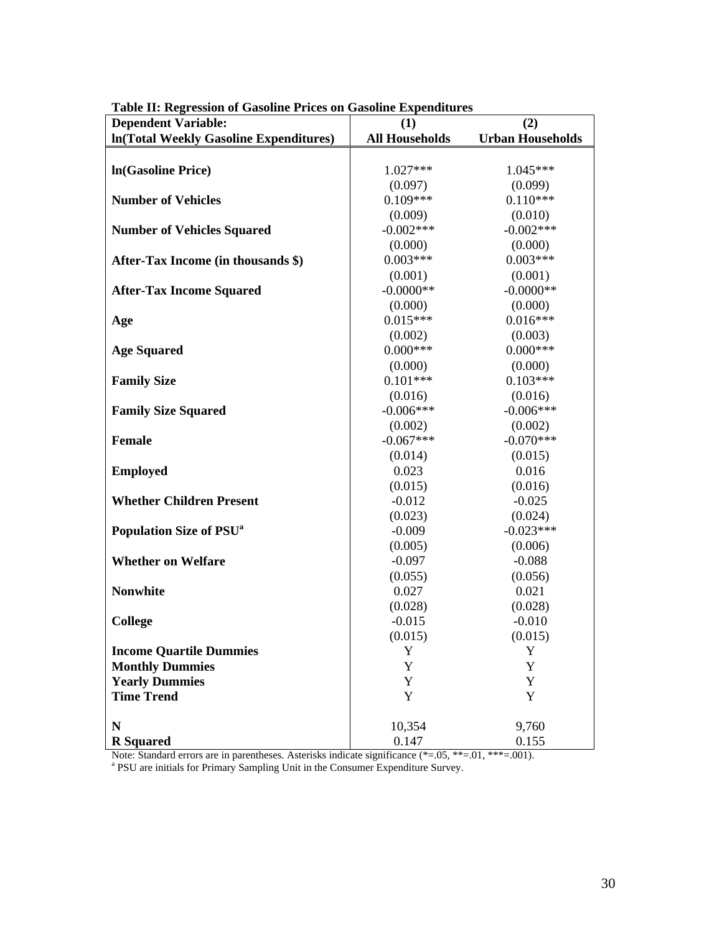| <b>Dependent Variable:</b>                    | (1)                   | (2)                     |
|-----------------------------------------------|-----------------------|-------------------------|
| <b>In(Total Weekly Gasoline Expenditures)</b> | <b>All Households</b> | <b>Urban Households</b> |
|                                               |                       |                         |
| In(Gasoline Price)                            | 1.027***              | $1.045***$              |
|                                               | (0.097)               | (0.099)                 |
| <b>Number of Vehicles</b>                     | $0.109***$            | $0.110***$              |
|                                               | (0.009)               | (0.010)                 |
| <b>Number of Vehicles Squared</b>             | $-0.002***$           | $-0.002***$             |
|                                               | (0.000)               | (0.000)                 |
| After-Tax Income (in thousands \$)            | $0.003***$            | $0.003***$              |
|                                               | (0.001)               | (0.001)                 |
| <b>After-Tax Income Squared</b>               | $-0.0000**$           | $-0.0000**$             |
|                                               | (0.000)               | (0.000)                 |
| Age                                           | $0.015***$            | $0.016***$              |
|                                               | (0.002)               | (0.003)                 |
| <b>Age Squared</b>                            | $0.000***$            | $0.000***$              |
|                                               | (0.000)               | (0.000)                 |
| <b>Family Size</b>                            | $0.101***$            | $0.103***$              |
|                                               | (0.016)               | (0.016)                 |
| <b>Family Size Squared</b>                    | $-0.006***$           | $-0.006***$             |
|                                               | (0.002)               | (0.002)                 |
| <b>Female</b>                                 | $-0.067***$           | $-0.070***$             |
|                                               | (0.014)               | (0.015)                 |
| <b>Employed</b>                               | 0.023                 | 0.016                   |
|                                               | (0.015)               | (0.016)                 |
| <b>Whether Children Present</b>               | $-0.012$              | $-0.025$                |
|                                               | (0.023)               | (0.024)                 |
| <b>Population Size of PSU<sup>a</sup></b>     | $-0.009$              | $-0.023***$             |
|                                               | (0.005)               | (0.006)                 |
| <b>Whether on Welfare</b>                     | $-0.097$              | $-0.088$                |
|                                               | (0.055)               | (0.056)                 |
| <b>Nonwhite</b>                               | 0.027                 | 0.021                   |
|                                               | (0.028)               | (0.028)                 |
| College                                       | $-0.015$              | $-0.010$                |
|                                               | (0.015)               | (0.015)                 |
| <b>Income Quartile Dummies</b>                | $\mathbf Y$           | Y                       |
| <b>Monthly Dummies</b>                        | Y                     | Y                       |
| <b>Yearly Dummies</b>                         | Y                     | Y                       |
| <b>Time Trend</b>                             | $\mathbf Y$           | $\mathbf Y$             |
|                                               |                       |                         |
| $\mathbf N$                                   | 10,354                | 9,760                   |
| <b>R</b> Squared                              | 0.147                 | 0.155                   |

**Table II: Regression of Gasoline Prices on Gasoline Expenditures** 

Note: Standard errors are in parentheses. Asterisks indicate significance (\*=.05, \*\*=.01, \*\*\*=.001). <br><sup>a</sup> PSU are initials for Primary Sampling Unit in the Consumer Expenditure Survey.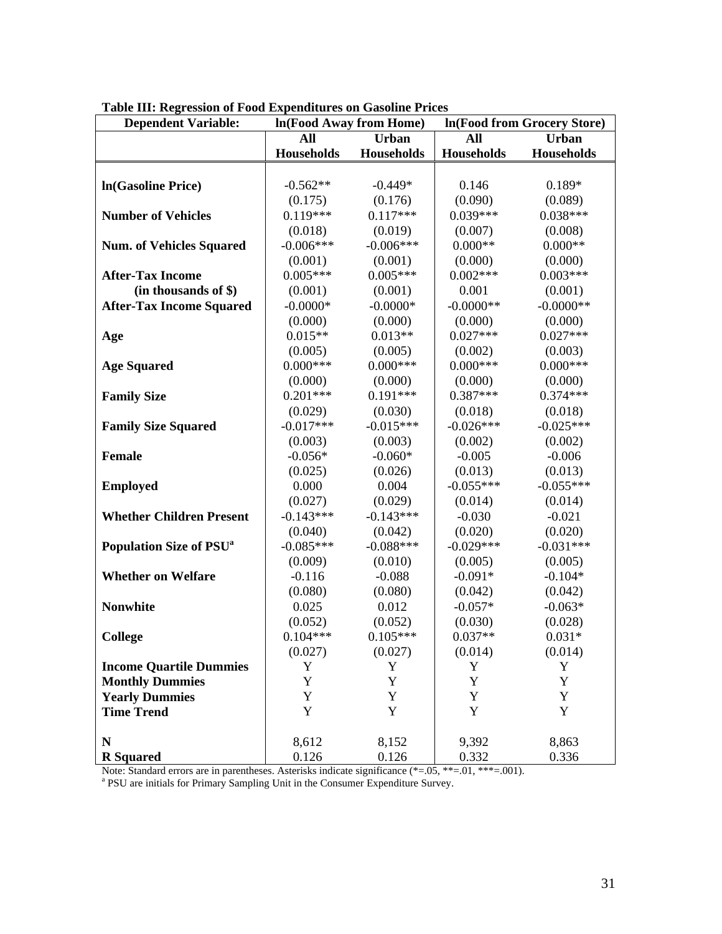| <b>Dependent Variable:</b>                |                   | In(Food Away from Home) | In(Food from Grocery Store) |              |  |
|-------------------------------------------|-------------------|-------------------------|-----------------------------|--------------|--|
|                                           | <b>All</b>        | <b>Urban</b>            | All                         | <b>Urban</b> |  |
|                                           | <b>Households</b> | Households              | <b>Households</b>           | Households   |  |
|                                           |                   |                         |                             |              |  |
| In(Gasoline Price)                        | $-0.562**$        | $-0.449*$               | 0.146                       | 0.189*       |  |
|                                           | (0.175)           | (0.176)                 | (0.090)                     | (0.089)      |  |
| <b>Number of Vehicles</b>                 | $0.119***$        | $0.117***$              | $0.039***$                  | $0.038***$   |  |
|                                           | (0.018)           | (0.019)                 | (0.007)                     | (0.008)      |  |
| <b>Num. of Vehicles Squared</b>           | $-0.006***$       | $-0.006***$             | $0.000**$                   | $0.000**$    |  |
|                                           | (0.001)           | (0.001)                 | (0.000)                     | (0.000)      |  |
| <b>After-Tax Income</b>                   | $0.005***$        | $0.005***$              | $0.002***$                  | $0.003***$   |  |
| (in thousands of \$)                      | (0.001)           | (0.001)                 | 0.001                       | (0.001)      |  |
| <b>After-Tax Income Squared</b>           | $-0.0000*$        | $-0.0000*$              | $-0.0000**$                 | $-0.0000**$  |  |
|                                           | (0.000)           | (0.000)                 | (0.000)                     | (0.000)      |  |
| Age                                       | $0.015**$         | $0.013**$               | $0.027***$                  | $0.027***$   |  |
|                                           | (0.005)           | (0.005)                 | (0.002)                     | (0.003)      |  |
| <b>Age Squared</b>                        | $0.000***$        | $0.000***$              | $0.000***$                  | $0.000***$   |  |
|                                           | (0.000)           | (0.000)                 | (0.000)                     | (0.000)      |  |
| <b>Family Size</b>                        | $0.201***$        | $0.191***$              | $0.387***$                  | $0.374***$   |  |
|                                           | (0.029)           | (0.030)                 | (0.018)                     | (0.018)      |  |
| <b>Family Size Squared</b>                | $-0.017***$       | $-0.015***$             | $-0.026***$                 | $-0.025***$  |  |
|                                           | (0.003)           | (0.003)                 | (0.002)                     | (0.002)      |  |
| <b>Female</b>                             | $-0.056*$         | $-0.060*$               | $-0.005$                    | $-0.006$     |  |
|                                           | (0.025)           | (0.026)                 | (0.013)                     | (0.013)      |  |
| <b>Employed</b>                           | 0.000             | 0.004                   | $-0.055***$                 | $-0.055***$  |  |
|                                           | (0.027)           | (0.029)                 | (0.014)                     | (0.014)      |  |
| <b>Whether Children Present</b>           | $-0.143***$       | $-0.143***$             | $-0.030$                    | $-0.021$     |  |
|                                           | (0.040)           | (0.042)                 | (0.020)                     | (0.020)      |  |
| <b>Population Size of PSU<sup>a</sup></b> | $-0.085***$       | $-0.088***$             | $-0.029***$                 | $-0.031***$  |  |
|                                           | (0.009)           | (0.010)                 | (0.005)                     | (0.005)      |  |
| <b>Whether on Welfare</b>                 | $-0.116$          | $-0.088$                | $-0.091*$                   | $-0.104*$    |  |
|                                           | (0.080)           | (0.080)                 | (0.042)                     | (0.042)      |  |
| <b>Nonwhite</b>                           | 0.025             | 0.012                   | $-0.057*$                   | $-0.063*$    |  |
|                                           | (0.052)           | (0.052)                 | (0.030)                     | (0.028)      |  |
| <b>College</b>                            | $0.104***$        | $0.105***$              | $0.037**$                   | $0.031*$     |  |
|                                           | (0.027)           | (0.027)                 | (0.014)                     | (0.014)      |  |
| <b>Income Quartile Dummies</b>            | Y                 | Y                       | Y                           | Y            |  |
| <b>Monthly Dummies</b>                    | Y                 | Y                       | Y                           | Y            |  |
| <b>Yearly Dummies</b>                     | Y                 | Y                       | Y                           | Y            |  |
| <b>Time Trend</b>                         | Y                 | Y                       | Y                           | Y            |  |
|                                           |                   |                         |                             |              |  |
| ${\bf N}$                                 | 8,612             | 8,152                   | 9,392                       | 8,863        |  |
| <b>R</b> Squared                          | 0.126             | 0.126                   | 0.332                       | 0.336        |  |

**Table III: Regression of Food Expenditures on Gasoline Prices** 

Note: Standard errors are in parentheses. Asterisks indicate significance (\*=.05, \*\*=.01, \*\*\*=.001). <br><sup>a</sup> PSU are initials for Primary Sampling Unit in the Consumer Expenditure Survey.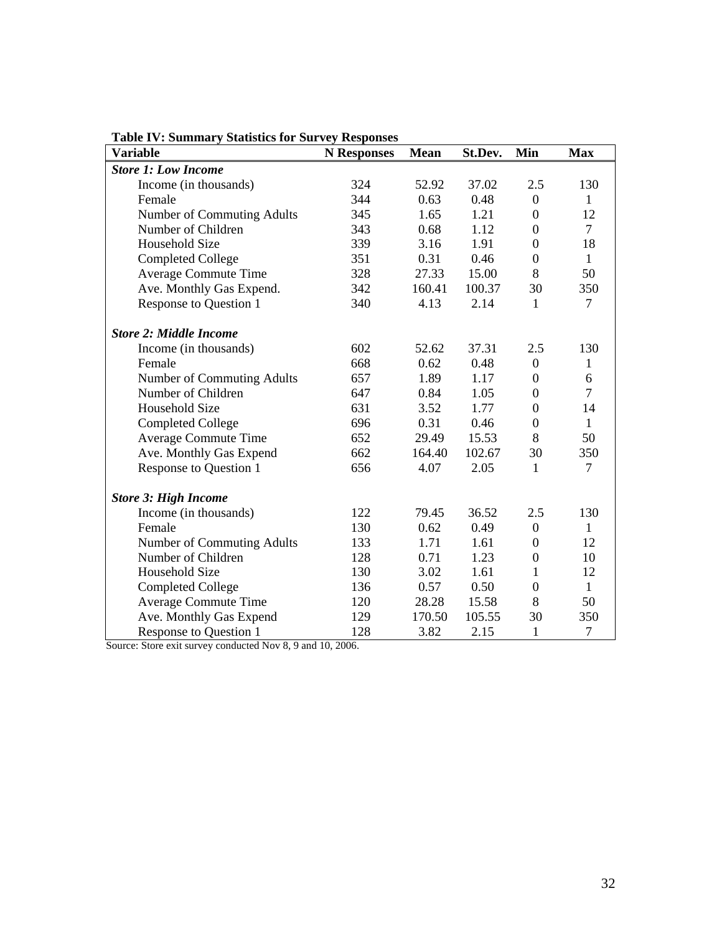| <b>Variable</b>               | <b>N</b> Responses | <b>Mean</b> | St.Dev. | Min              | <b>Max</b>     |
|-------------------------------|--------------------|-------------|---------|------------------|----------------|
| <b>Store 1: Low Income</b>    |                    |             |         |                  |                |
| Income (in thousands)         | 324                | 52.92       | 37.02   | 2.5              | 130            |
| Female                        | 344                | 0.63        | 0.48    | $\boldsymbol{0}$ | $\mathbf{1}$   |
| Number of Commuting Adults    | 345                | 1.65        | 1.21    | $\boldsymbol{0}$ | 12             |
| Number of Children            | 343                | 0.68        | 1.12    | $\boldsymbol{0}$ | $\overline{7}$ |
| Household Size                | 339                | 3.16        | 1.91    | $\boldsymbol{0}$ | 18             |
| <b>Completed College</b>      | 351                | 0.31        | 0.46    | $\boldsymbol{0}$ | $\mathbf{1}$   |
| <b>Average Commute Time</b>   | 328                | 27.33       | 15.00   | 8                | 50             |
| Ave. Monthly Gas Expend.      | 342                | 160.41      | 100.37  | 30               | 350            |
| Response to Question 1        | 340                | 4.13        | 2.14    | $\mathbf{1}$     | $\overline{7}$ |
| <b>Store 2: Middle Income</b> |                    |             |         |                  |                |
| Income (in thousands)         | 602                | 52.62       | 37.31   | 2.5              | 130            |
| Female                        | 668                | 0.62        | 0.48    | $\mathbf{0}$     | $\mathbf{1}$   |
| Number of Commuting Adults    | 657                | 1.89        | 1.17    | $\boldsymbol{0}$ | 6              |
| Number of Children            | 647                | 0.84        | 1.05    | $\boldsymbol{0}$ | $\overline{7}$ |
| <b>Household Size</b>         | 631                | 3.52        | 1.77    | $\boldsymbol{0}$ | 14             |
| <b>Completed College</b>      | 696                | 0.31        | 0.46    | $\boldsymbol{0}$ | $\mathbf{1}$   |
| Average Commute Time          | 652                | 29.49       | 15.53   | 8                | 50             |
| Ave. Monthly Gas Expend       | 662                | 164.40      | 102.67  | 30               | 350            |
| Response to Question 1        | 656                | 4.07        | 2.05    | $\mathbf{1}$     | $\overline{7}$ |
| <b>Store 3: High Income</b>   |                    |             |         |                  |                |
| Income (in thousands)         | 122                | 79.45       | 36.52   | 2.5              | 130            |
| Female                        | 130                | 0.62        | 0.49    | $\overline{0}$   | $\mathbf{1}$   |
| Number of Commuting Adults    | 133                | 1.71        | 1.61    | $\boldsymbol{0}$ | 12             |
| Number of Children            | 128                | 0.71        | 1.23    | $\boldsymbol{0}$ | 10             |
| Household Size                | 130                | 3.02        | 1.61    | $\mathbf{1}$     | 12             |
| <b>Completed College</b>      | 136                | 0.57        | 0.50    | $\overline{0}$   | $\mathbf{1}$   |
| <b>Average Commute Time</b>   | 120                | 28.28       | 15.58   | 8                | 50             |
| Ave. Monthly Gas Expend       | 129                | 170.50      | 105.55  | 30               | 350            |
| <b>Response to Question 1</b> | 128                | 3.82        | 2.15    | $\mathbf{1}$     | $\overline{7}$ |

**Table IV: Summary Statistics for Survey Responses** 

Source: Store exit survey conducted Nov 8, 9 and 10, 2006.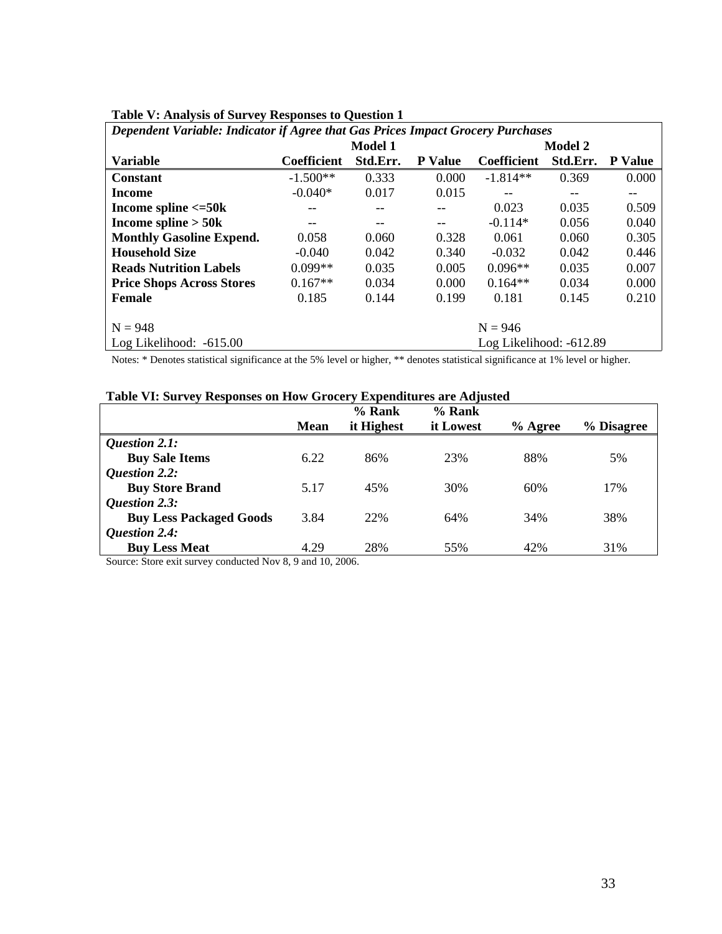| Dependent Variable: Indicator if Agree that Gas Prices Impact Grocery Purchases |                    |          |                |                         |          |                |  |  |  |
|---------------------------------------------------------------------------------|--------------------|----------|----------------|-------------------------|----------|----------------|--|--|--|
|                                                                                 |                    | Model 1  |                | <b>Model 2</b>          |          |                |  |  |  |
| <b>Variable</b>                                                                 | <b>Coefficient</b> | Std.Err. | <b>P</b> Value | <b>Coefficient</b>      | Std.Err. | <b>P</b> Value |  |  |  |
| <b>Constant</b>                                                                 | $-1.500**$         | 0.333    | 0.000          | $-1.814**$              | 0.369    | 0.000          |  |  |  |
| Income                                                                          | $-0.040*$          | 0.017    | 0.015          |                         |          |                |  |  |  |
| Income spline $\leq$ =50 $k$                                                    |                    |          |                | 0.023                   | 0.035    | 0.509          |  |  |  |
| Income spline $>$ 50 $k$                                                        |                    |          | --             | $-0.114*$               | 0.056    | 0.040          |  |  |  |
| <b>Monthly Gasoline Expend.</b>                                                 | 0.058              | 0.060    | 0.328          | 0.061                   | 0.060    | 0.305          |  |  |  |
| <b>Household Size</b>                                                           | $-0.040$           | 0.042    | 0.340          | $-0.032$                | 0.042    | 0.446          |  |  |  |
| <b>Reads Nutrition Labels</b>                                                   | $0.099**$          | 0.035    | 0.005          | $0.096**$               | 0.035    | 0.007          |  |  |  |
| <b>Price Shops Across Stores</b>                                                | $0.167**$          | 0.034    | 0.000          | $0.164**$               | 0.034    | 0.000          |  |  |  |
| <b>Female</b>                                                                   | 0.185              | 0.144    | 0.199          | 0.181                   | 0.145    | 0.210          |  |  |  |
|                                                                                 |                    |          |                |                         |          |                |  |  |  |
| $N = 948$                                                                       | $N = 946$          |          |                |                         |          |                |  |  |  |
| Log Likelihood: $-615.00$                                                       |                    |          |                | Log Likelihood: -612.89 |          |                |  |  |  |

|  |  |  |  | Table V: Analysis of Survey Responses to Question 1 |
|--|--|--|--|-----------------------------------------------------|
|--|--|--|--|-----------------------------------------------------|

Notes: \* Denotes statistical significance at the 5% level or higher, \*\* denotes statistical significance at 1% level or higher.

| Table VI: Survey Responses on How Grocery Expenditures are Adjusted |  |
|---------------------------------------------------------------------|--|
|---------------------------------------------------------------------|--|

|                                |             | $%$ Rank   | $%$ Rank  |           |            |
|--------------------------------|-------------|------------|-----------|-----------|------------|
|                                | <b>Mean</b> | it Highest | it Lowest | $%$ Agree | % Disagree |
| Question 2.1:                  |             |            |           |           |            |
| <b>Buy Sale Items</b>          | 6.22        | 86%        | 23%       | 88%       | 5%         |
| <b>Question 2.2:</b>           |             |            |           |           |            |
| <b>Buy Store Brand</b>         | 5.17        | 45%        | 30%       | 60%       | 17%        |
| <b>Question 2.3:</b>           |             |            |           |           |            |
| <b>Buy Less Packaged Goods</b> | 3.84        | 22%        | 64%       | 34%       | 38%        |
| <b>Question 2.4:</b>           |             |            |           |           |            |
| <b>Buy Less Meat</b>           | 4.29        | 28%        | 55%       | 42%       | 31%        |

Source: Store exit survey conducted Nov 8, 9 and 10, 2006.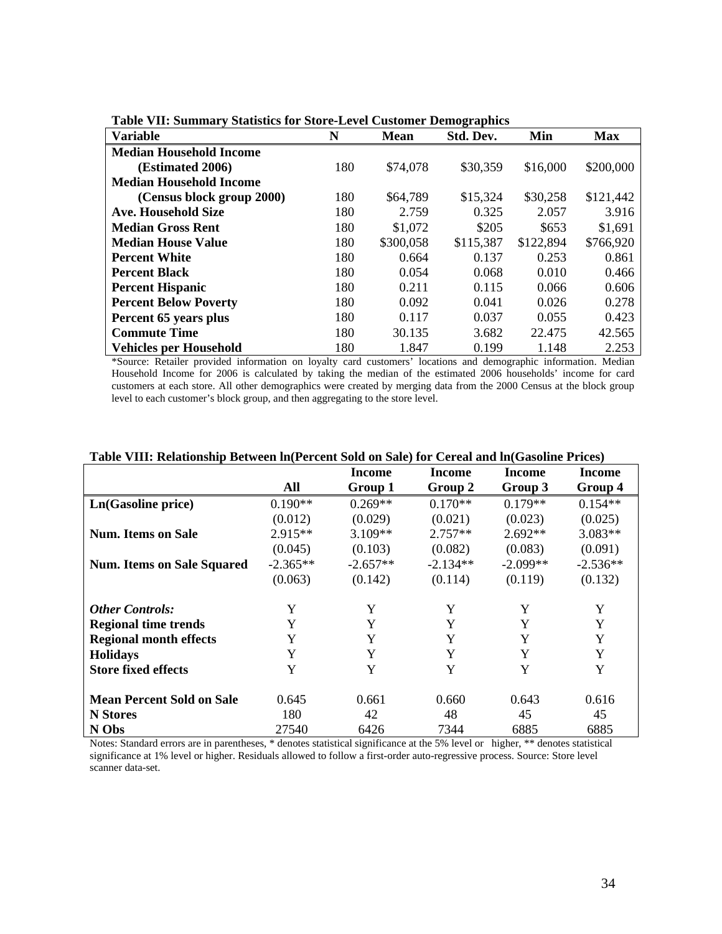| <b>Variable</b>                | N   | <b>Mean</b> | Std. Dev. | Min       | <b>Max</b> |
|--------------------------------|-----|-------------|-----------|-----------|------------|
| <b>Median Household Income</b> |     |             |           |           |            |
| <b>(Estimated 2006)</b>        | 180 | \$74,078    | \$30,359  | \$16,000  | \$200,000  |
| <b>Median Household Income</b> |     |             |           |           |            |
| (Census block group 2000)      | 180 | \$64,789    | \$15,324  | \$30,258  | \$121,442  |
| <b>Ave. Household Size</b>     | 180 | 2.759       | 0.325     | 2.057     | 3.916      |
| <b>Median Gross Rent</b>       | 180 | \$1,072     | \$205     | \$653     | \$1,691    |
| <b>Median House Value</b>      | 180 | \$300,058   | \$115,387 | \$122,894 | \$766,920  |
| <b>Percent White</b>           | 180 | 0.664       | 0.137     | 0.253     | 0.861      |
| <b>Percent Black</b>           | 180 | 0.054       | 0.068     | 0.010     | 0.466      |
| <b>Percent Hispanic</b>        | 180 | 0.211       | 0.115     | 0.066     | 0.606      |
| <b>Percent Below Poverty</b>   | 180 | 0.092       | 0.041     | 0.026     | 0.278      |
| Percent 65 years plus          | 180 | 0.117       | 0.037     | 0.055     | 0.423      |
| <b>Commute Time</b>            | 180 | 30.135      | 3.682     | 22.475    | 42.565     |
| <b>Vehicles per Household</b>  | 180 | 1.847       | 0.199     | 1.148     | 2.253      |

|  |  |  | Table VII: Summary Statistics for Store-Level Customer Demographics |
|--|--|--|---------------------------------------------------------------------|
|  |  |  |                                                                     |

\*Source: Retailer provided information on loyalty card customers' locations and demographic information. Median Household Income for 2006 is calculated by taking the median of the estimated 2006 households' income for card customers at each store. All other demographics were created by merging data from the 2000 Census at the block group level to each customer's block group, and then aggregating to the store level.

|                                   |            | Income     | Income     | Income     | Income     |
|-----------------------------------|------------|------------|------------|------------|------------|
|                                   | All        | Group 1    | Group 2    | Group 3    | Group 4    |
| Ln(Gasoline price)                | $0.190**$  | $0.269**$  | $0.170**$  | $0.179**$  | $0.154**$  |
|                                   | (0.012)    | (0.029)    | (0.021)    | (0.023)    | (0.025)    |
| <b>Num. Items on Sale</b>         | $2.915**$  | $3.109**$  | $2.757**$  | $2.692**$  | $3.083**$  |
|                                   | (0.045)    | (0.103)    | (0.082)    | (0.083)    | (0.091)    |
| <b>Num. Items on Sale Squared</b> | $-2.365**$ | $-2.657**$ | $-2.134**$ | $-2.099**$ | $-2.536**$ |
|                                   | (0.063)    | (0.142)    | (0.114)    | (0.119)    | (0.132)    |
| <b>Other Controls:</b>            | Y          | Y          | Y          | Y          | Y          |
| <b>Regional time trends</b>       | Y          | Y          | Y          | Y          | Y          |
| <b>Regional month effects</b>     | Y          | Y          | Y          | Y          | Y          |
| <b>Holidays</b>                   | Y          | Y          | Y          | Y          | Y          |
| <b>Store fixed effects</b>        | Y          | Y          | Y          | Y          | Y          |
| <b>Mean Percent Sold on Sale</b>  | 0.645      | 0.661      | 0.660      | 0.643      | 0.616      |
| <b>N</b> Stores                   | 180        | 42         | 48         | 45         | 45         |
| N Obs                             | 27540      | 6426       | 7344       | 6885       | 6885       |

#### **Table VIII: Relationship Between ln(Percent Sold on Sale) for Cereal and ln(Gasoline Prices)**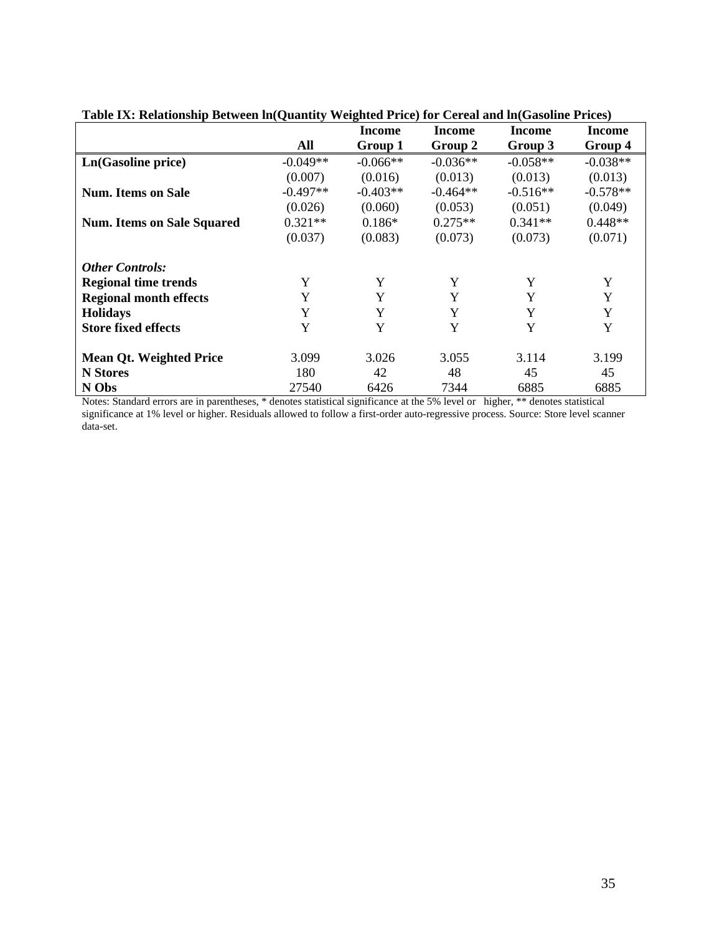|                                   |            | Income     | <b>Income</b> | Income     | Income     |
|-----------------------------------|------------|------------|---------------|------------|------------|
|                                   | All        | Group 1    | Group 2       | Group 3    | Group 4    |
| Ln(Gasoline price)                | $-0.049**$ | $-0.066**$ | $-0.036**$    | $-0.058**$ | $-0.038**$ |
|                                   | (0.007)    | (0.016)    | (0.013)       | (0.013)    | (0.013)    |
| <b>Num.</b> Items on Sale         | $-0.497**$ | $-0.403**$ | $-0.464**$    | $-0.516**$ | $-0.578**$ |
|                                   | (0.026)    | (0.060)    | (0.053)       | (0.051)    | (0.049)    |
| <b>Num. Items on Sale Squared</b> | $0.321**$  | $0.186*$   | $0.275**$     | $0.341**$  | $0.448**$  |
|                                   | (0.037)    | (0.083)    | (0.073)       | (0.073)    | (0.071)    |
| <b>Other Controls:</b>            |            |            |               |            |            |
| <b>Regional time trends</b>       | Y          | Y          | Y             | Y          | Y          |
| <b>Regional month effects</b>     | Y          | Y          | Y             | Y          | Y          |
| <b>Holidays</b>                   | Y          | Y          | Y             | Y          | Y          |
| <b>Store fixed effects</b>        | Y          | Y          | Y             | Y          | Y          |
| <b>Mean Qt. Weighted Price</b>    | 3.099      | 3.026      | 3.055         | 3.114      | 3.199      |
| <b>N</b> Stores                   | 180        | 42         | 48            | 45         | 45         |
| N Obs                             | 27540      | 6426       | 7344          | 6885       | 6885       |

**Table IX: Relationship Between ln(Quantity Weighted Price) for Cereal and ln(Gasoline Prices)**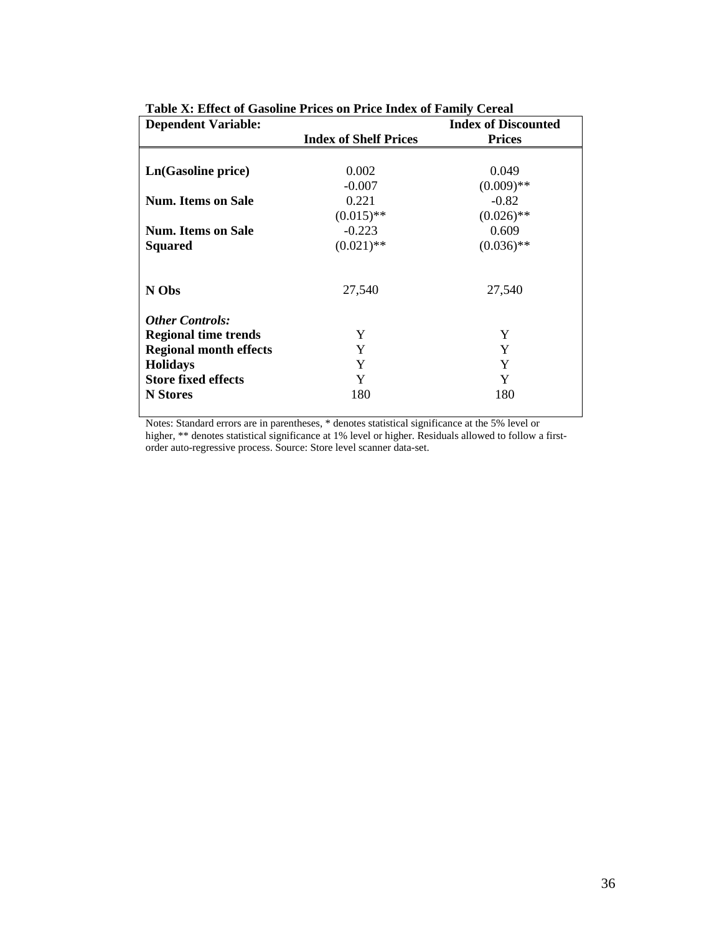| <b>Dependent Variable:</b>    | radio Al Effect of Gasoline Friegs on Friee much of Family Cereal<br><b>Index of Discounted</b> |               |  |  |  |  |
|-------------------------------|-------------------------------------------------------------------------------------------------|---------------|--|--|--|--|
|                               | <b>Index of Shelf Prices</b>                                                                    | <b>Prices</b> |  |  |  |  |
|                               |                                                                                                 |               |  |  |  |  |
| Ln(Gasoline price)            | 0.002                                                                                           | 0.049         |  |  |  |  |
|                               | $-0.007$                                                                                        | $(0.009)$ **  |  |  |  |  |
| Num. Items on Sale            | 0.221                                                                                           | $-0.82$       |  |  |  |  |
|                               | $(0.015)$ **                                                                                    | $(0.026)$ **  |  |  |  |  |
| <b>Num. Items on Sale</b>     | $-0.223$                                                                                        | 0.609         |  |  |  |  |
| <b>Squared</b>                | $(0.021)$ **                                                                                    | $(0.036)$ **  |  |  |  |  |
|                               |                                                                                                 |               |  |  |  |  |
| N Obs                         | 27,540                                                                                          | 27,540        |  |  |  |  |
| <b>Other Controls:</b>        |                                                                                                 |               |  |  |  |  |
| <b>Regional time trends</b>   | Y                                                                                               | Y             |  |  |  |  |
| <b>Regional month effects</b> | Y                                                                                               | Y             |  |  |  |  |
| <b>Holidays</b>               | Y                                                                                               | Y             |  |  |  |  |
| <b>Store fixed effects</b>    | Y                                                                                               | Y             |  |  |  |  |
| <b>N</b> Stores               | 180                                                                                             | 180           |  |  |  |  |
|                               |                                                                                                 |               |  |  |  |  |

**Table X: Effect of Gasoline Prices on Price Index of Family Cereal**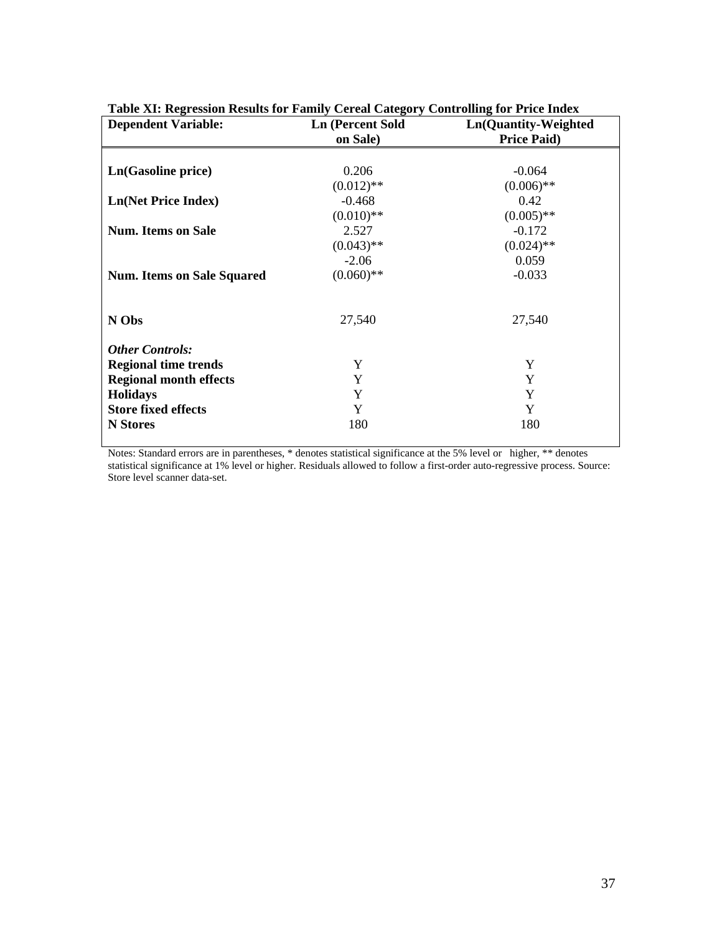| Table AT. Regression Results for Family Cereal Category Controlling for Frice Hitlex<br><b>Dependent Variable:</b> | <b>Ln</b> (Percent Sold | Ln(Quantity-Weighted |
|--------------------------------------------------------------------------------------------------------------------|-------------------------|----------------------|
|                                                                                                                    | on Sale)                | <b>Price Paid)</b>   |
|                                                                                                                    |                         |                      |
| Ln(Gasoline price)                                                                                                 | 0.206                   | $-0.064$             |
|                                                                                                                    | $(0.012)$ **            | $(0.006)$ **         |
| <b>Ln(Net Price Index)</b>                                                                                         | $-0.468$                | 0.42                 |
|                                                                                                                    | $(0.010)$ **            | $(0.005)$ **         |
| <b>Num.</b> Items on Sale                                                                                          | 2.527                   | $-0.172$             |
|                                                                                                                    | $(0.043)$ **            | $(0.024)$ **         |
|                                                                                                                    | $-2.06$                 | 0.059                |
| <b>Num. Items on Sale Squared</b>                                                                                  | $(0.060)$ **            | $-0.033$             |
|                                                                                                                    |                         |                      |
| N Obs                                                                                                              | 27,540                  | 27,540               |
| <b>Other Controls:</b>                                                                                             |                         |                      |
| <b>Regional time trends</b>                                                                                        | Y                       | Y                    |
| <b>Regional month effects</b>                                                                                      | Y                       | Y                    |
| <b>Holidays</b>                                                                                                    | Y                       | Y                    |
| <b>Store fixed effects</b>                                                                                         | Y                       | Y                    |
| <b>N</b> Stores                                                                                                    | 180                     | 180                  |

# **Table XI: Regression Results for Family Cereal Category Controlling for Price Index**

Notes: Standard errors are in parentheses, \* denotes statistical significance at the 5% level or higher, \*\* denotes statistical significance at 1% level or higher. Residuals allowed to follow a first-order auto-regressive process. Source: Store level scanner data-set.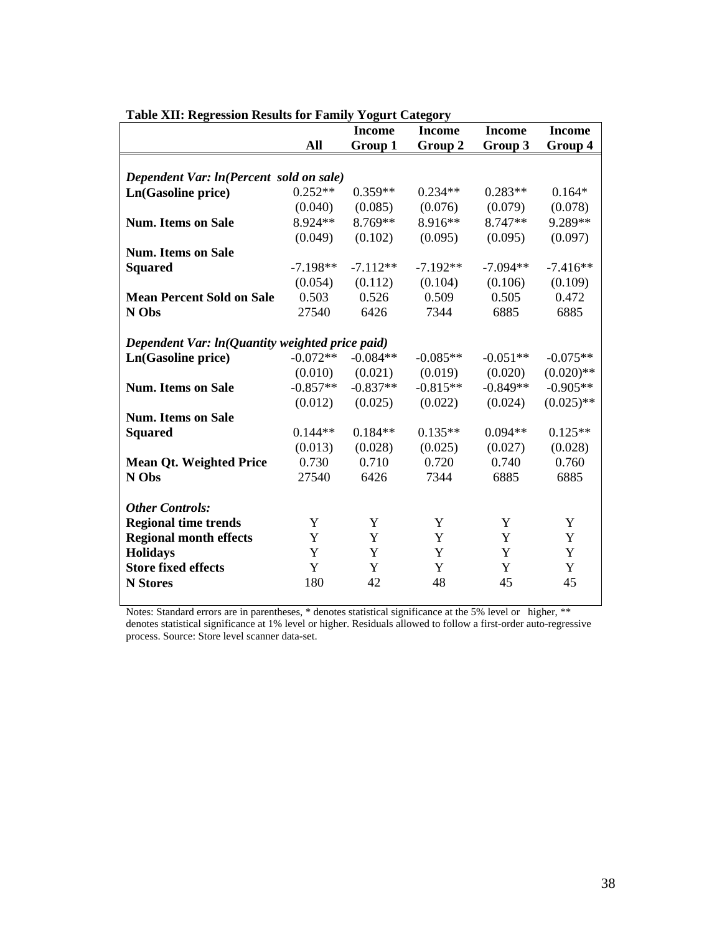|                                                 |            | <b>Income</b> | <b>Income</b> | <b>Income</b> | <b>Income</b> |
|-------------------------------------------------|------------|---------------|---------------|---------------|---------------|
|                                                 | All        | Group 1       | Group 2       | Group 3       | Group 4       |
|                                                 |            |               |               |               |               |
| Dependent Var: ln(Percent sold on sale)         |            |               |               |               |               |
| Ln(Gasoline price)                              | $0.252**$  | $0.359**$     | $0.234**$     | $0.283**$     | $0.164*$      |
|                                                 | (0.040)    | (0.085)       | (0.076)       | (0.079)       | (0.078)       |
| <b>Num. Items on Sale</b>                       | 8.924**    | 8.769**       | 8.916**       | 8.747**       | 9.289**       |
|                                                 | (0.049)    | (0.102)       | (0.095)       | (0.095)       | (0.097)       |
| <b>Num. Items on Sale</b>                       |            |               |               |               |               |
| <b>Squared</b>                                  | $-7.198**$ | $-7.112**$    | $-7.192**$    | $-7.094**$    | $-7.416**$    |
|                                                 | (0.054)    | (0.112)       | (0.104)       | (0.106)       | (0.109)       |
| <b>Mean Percent Sold on Sale</b>                | 0.503      | 0.526         | 0.509         | 0.505         | 0.472         |
| N Obs                                           | 27540      | 6426          | 7344          | 6885          | 6885          |
|                                                 |            |               |               |               |               |
| Dependent Var: ln(Quantity weighted price paid) |            |               |               |               |               |
| Ln(Gasoline price)                              | $-0.072**$ | $-0.084**$    | $-0.085**$    | $-0.051**$    | $-0.075**$    |
|                                                 | (0.010)    | (0.021)       | (0.019)       | (0.020)       | $(0.020)$ **  |
| <b>Num. Items on Sale</b>                       | $-0.857**$ | $-0.837**$    | $-0.815**$    | $-0.849**$    | $-0.905**$    |
|                                                 | (0.012)    | (0.025)       | (0.022)       | (0.024)       | $(0.025)$ **  |
| <b>Num. Items on Sale</b>                       |            |               |               |               |               |
| <b>Squared</b>                                  | $0.144**$  | $0.184**$     | $0.135**$     | $0.094**$     | $0.125**$     |
|                                                 | (0.013)    | (0.028)       | (0.025)       | (0.027)       | (0.028)       |
| <b>Mean Qt. Weighted Price</b>                  | 0.730      | 0.710         | 0.720         | 0.740         | 0.760         |
| N Obs                                           | 27540      | 6426          | 7344          | 6885          | 6885          |
|                                                 |            |               |               |               |               |
| <b>Other Controls:</b>                          |            |               |               |               |               |
| <b>Regional time trends</b>                     | Y          | Y             | Y             | Y             | Y             |
| <b>Regional month effects</b>                   | Y          | Y             | Y             | Y             | Y             |
| <b>Holidays</b>                                 | Y          | Y             | Y             | Y             | Y             |
| <b>Store fixed effects</b>                      | Y          | Y             | Y             | Y             | Y             |
| <b>N</b> Stores                                 | 180        | 42            | 48            | 45            | 45            |
|                                                 |            |               |               |               |               |

#### **Table XII: Regression Results for Family Yogurt Category**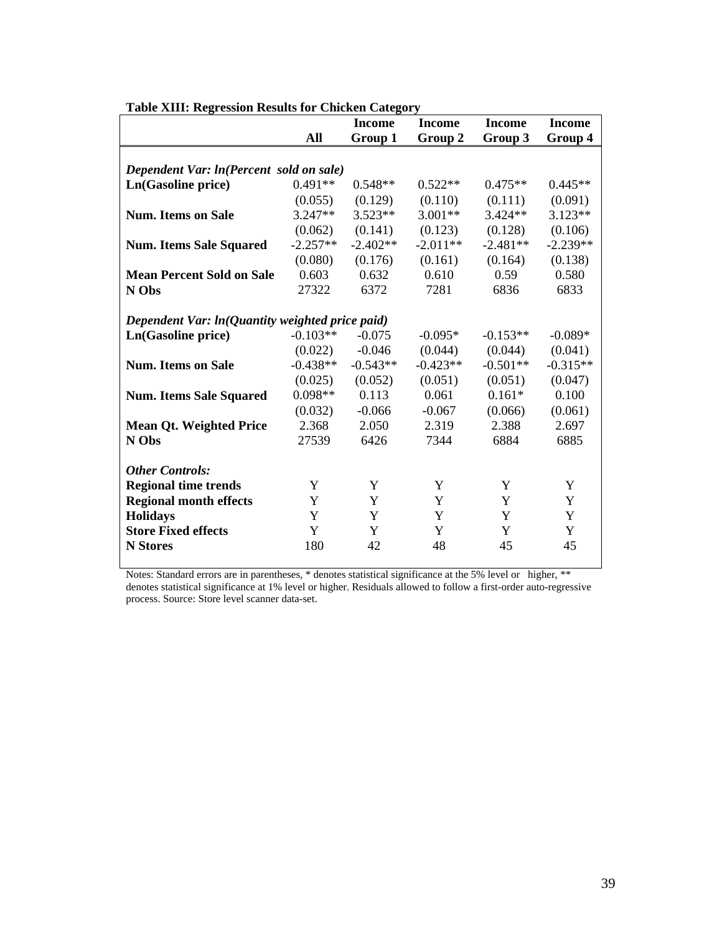|                                                 |            | Income     | Income     | <b>Income</b> | <b>Income</b> |
|-------------------------------------------------|------------|------------|------------|---------------|---------------|
|                                                 | All        | Group 1    | Group 2    | Group 3       | Group 4       |
|                                                 |            |            |            |               |               |
| Dependent Var: ln(Percent sold on sale)         |            |            |            |               |               |
| Ln(Gasoline price)                              | $0.491**$  | $0.548**$  | $0.522**$  | $0.475**$     | $0.445**$     |
|                                                 | (0.055)    | (0.129)    | (0.110)    | (0.111)       | (0.091)       |
| <b>Num.</b> Items on Sale                       | $3.247**$  | $3.523**$  | $3.001**$  | $3.424**$     | $3.123**$     |
|                                                 | (0.062)    | (0.141)    | (0.123)    | (0.128)       | (0.106)       |
| <b>Num. Items Sale Squared</b>                  | $-2.257**$ | $-2.402**$ | $-2.011**$ | $-2.481**$    | $-2.239**$    |
|                                                 | (0.080)    | (0.176)    | (0.161)    | (0.164)       | (0.138)       |
| <b>Mean Percent Sold on Sale</b>                | 0.603      | 0.632      | 0.610      | 0.59          | 0.580         |
| N Obs                                           | 27322      | 6372       | 7281       | 6836          | 6833          |
|                                                 |            |            |            |               |               |
| Dependent Var: ln(Quantity weighted price paid) |            |            |            |               |               |
| Ln(Gasoline price)                              | $-0.103**$ | $-0.075$   | $-0.095*$  | $-0.153**$    | $-0.089*$     |
|                                                 | (0.022)    | $-0.046$   | (0.044)    | (0.044)       | (0.041)       |
| <b>Num. Items on Sale</b>                       | $-0.438**$ | $-0.543**$ | $-0.423**$ | $-0.501**$    | $-0.315**$    |
|                                                 | (0.025)    | (0.052)    | (0.051)    | (0.051)       | (0.047)       |
| <b>Num. Items Sale Squared</b>                  | $0.098**$  | 0.113      | 0.061      | $0.161*$      | 0.100         |
|                                                 | (0.032)    | $-0.066$   | $-0.067$   | (0.066)       | (0.061)       |
| <b>Mean Qt. Weighted Price</b>                  | 2.368      | 2.050      | 2.319      | 2.388         | 2.697         |
| N Obs                                           | 27539      | 6426       | 7344       | 6884          | 6885          |
|                                                 |            |            |            |               |               |
| <b>Other Controls:</b>                          |            |            |            |               |               |
| <b>Regional time trends</b>                     | Y          | Y          | Y          | Y             | Y             |
| <b>Regional month effects</b>                   | Y          | Y          | Y          | Y             | Y             |
| <b>Holidays</b>                                 | Y          | Y          | Y          | Y             | Y             |
| <b>Store Fixed effects</b>                      | Y          | Y          | Y          | Y             | Y             |
| <b>N</b> Stores                                 | 180        | 42         | 48         | 45            | 45            |

**Table XIII: Regression Results for Chicken Category**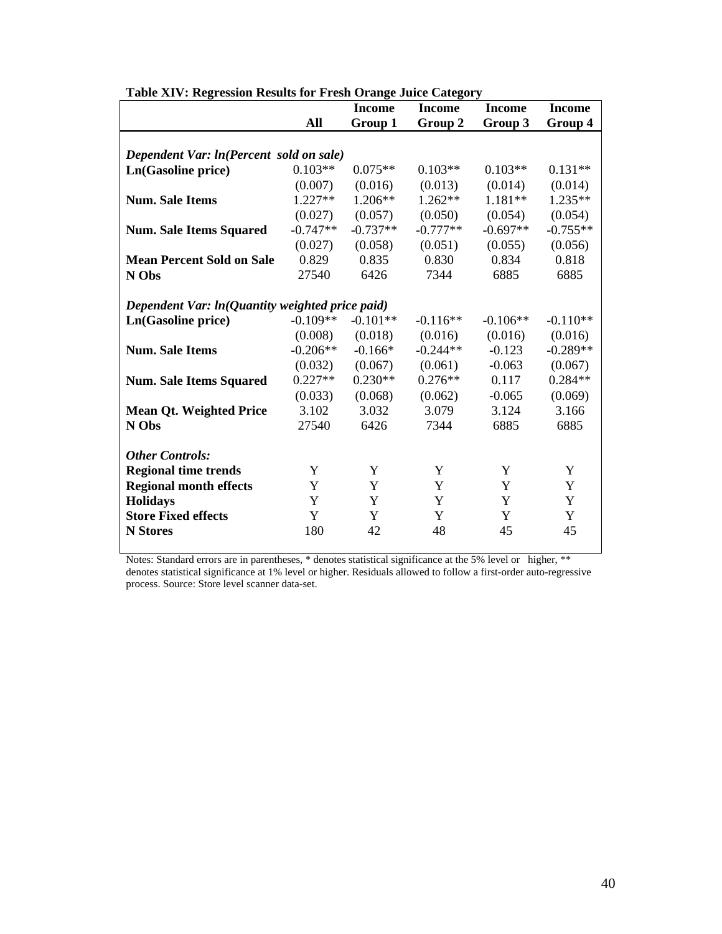|                                                 |            | <b>Income</b> | <b>Income</b> | <b>Income</b> | <b>Income</b> |  |
|-------------------------------------------------|------------|---------------|---------------|---------------|---------------|--|
|                                                 | All        | Group 1       | Group 2       | Group 3       | Group 4       |  |
|                                                 |            |               |               |               |               |  |
| Dependent Var: ln(Percent sold on sale)         |            |               |               |               |               |  |
| Ln(Gasoline price)                              | $0.103**$  | $0.075**$     | $0.103**$     | $0.103**$     | $0.131**$     |  |
|                                                 | (0.007)    | (0.016)       | (0.013)       | (0.014)       | (0.014)       |  |
| <b>Num.</b> Sale Items                          | $1.227**$  | $1.206**$     | $1.262**$     | $1.181**$     | $1.235**$     |  |
|                                                 | (0.027)    | (0.057)       | (0.050)       | (0.054)       | (0.054)       |  |
| <b>Num. Sale Items Squared</b>                  | $-0.747**$ | $-0.737**$    | $-0.777**$    | $-0.697**$    | $-0.755**$    |  |
|                                                 | (0.027)    | (0.058)       | (0.051)       | (0.055)       | (0.056)       |  |
| <b>Mean Percent Sold on Sale</b>                | 0.829      | 0.835         | 0.830         | 0.834         | 0.818         |  |
| N Obs                                           | 27540      | 6426          | 7344          | 6885          | 6885          |  |
|                                                 |            |               |               |               |               |  |
| Dependent Var: ln(Quantity weighted price paid) |            |               |               |               |               |  |
| Ln(Gasoline price)                              | $-0.109**$ | $-0.101**$    | $-0.116**$    | $-0.106**$    | $-0.110**$    |  |
|                                                 | (0.008)    | (0.018)       | (0.016)       | (0.016)       | (0.016)       |  |
| <b>Num.</b> Sale Items                          | $-0.206**$ | $-0.166*$     | $-0.244**$    | $-0.123$      | $-0.289**$    |  |
|                                                 | (0.032)    | (0.067)       | (0.061)       | $-0.063$      | (0.067)       |  |
| <b>Num. Sale Items Squared</b>                  | $0.227**$  | $0.230**$     | $0.276**$     | 0.117         | $0.284**$     |  |
|                                                 | (0.033)    | (0.068)       | (0.062)       | $-0.065$      | (0.069)       |  |
| <b>Mean Qt. Weighted Price</b>                  | 3.102      | 3.032         | 3.079         | 3.124         | 3.166         |  |
| N Obs                                           | 27540      | 6426          | 7344          | 6885          | 6885          |  |
|                                                 |            |               |               |               |               |  |
| <b>Other Controls:</b>                          |            |               |               |               |               |  |
| <b>Regional time trends</b>                     | Y          | Y             | Y             | Y             | Y             |  |
| <b>Regional month effects</b>                   | Y          | Y             | Y             | Y             | Y             |  |
| <b>Holidays</b>                                 | Y          | Y             | Y             | Y             | Y             |  |
| <b>Store Fixed effects</b>                      | Y          | Y             | Y             | Y             | Y             |  |
| <b>N</b> Stores                                 | 180        | 42            | 48            | 45            | 45            |  |

**Table XIV: Regression Results for Fresh Orange Juice Category**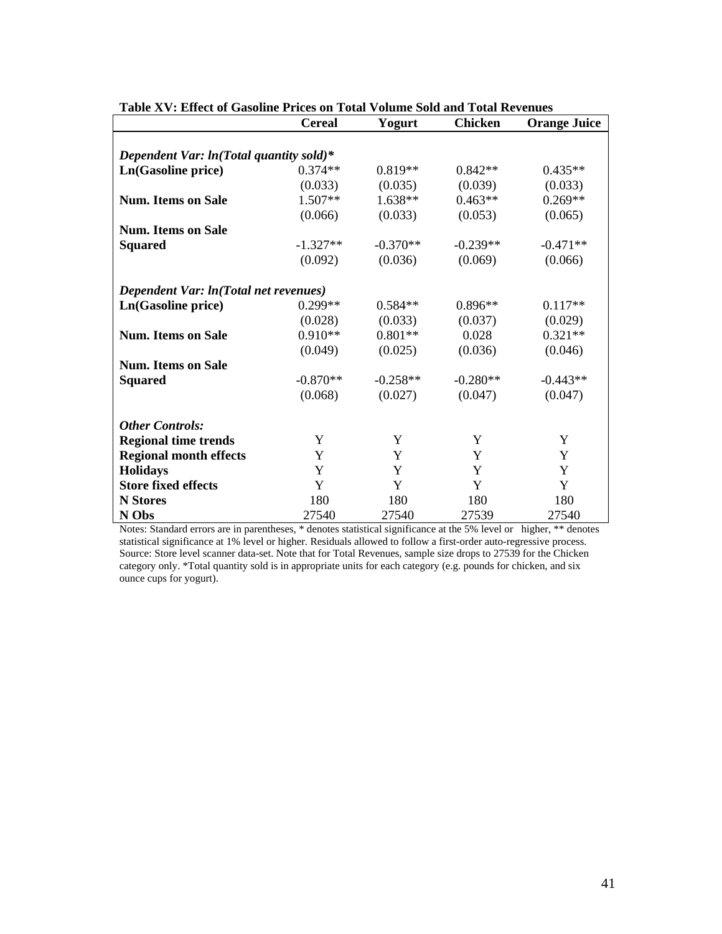|                                           | <b>Cereal</b> | Yogurt     | <b>Chicken</b> | <b>Orange Juice</b> |  |  |  |
|-------------------------------------------|---------------|------------|----------------|---------------------|--|--|--|
|                                           |               |            |                |                     |  |  |  |
| Dependent Var: $ln(Total$ quantity sold)* |               |            |                |                     |  |  |  |
| Ln(Gasoline price)                        | $0.374**$     | $0.819**$  | $0.842**$      | $0.435**$           |  |  |  |
|                                           | (0.033)       | (0.035)    | (0.039)        | (0.033)             |  |  |  |
| <b>Num. Items on Sale</b>                 | 1.507**       | $1.638**$  | $0.463**$      | $0.269**$           |  |  |  |
|                                           | (0.066)       | (0.033)    | (0.053)        | (0.065)             |  |  |  |
| <b>Num. Items on Sale</b>                 |               |            |                |                     |  |  |  |
| <b>Squared</b>                            | $-1.327**$    | $-0.370**$ | $-0.239**$     | $-0.471**$          |  |  |  |
|                                           | (0.092)       | (0.036)    | (0.069)        | (0.066)             |  |  |  |
| Dependent Var: ln(Total net revenues)     |               |            |                |                     |  |  |  |
| Ln(Gasoline price)                        | $0.299**$     | $0.584**$  | $0.896**$      | $0.117**$           |  |  |  |
|                                           | (0.028)       | (0.033)    | (0.037)        | (0.029)             |  |  |  |
| <b>Num.</b> Items on Sale                 | $0.910**$     | $0.801**$  | 0.028          | $0.321**$           |  |  |  |
|                                           | (0.049)       | (0.025)    | (0.036)        | (0.046)             |  |  |  |
| <b>Num. Items on Sale</b>                 |               |            |                |                     |  |  |  |
| <b>Squared</b>                            | $-0.870**$    | $-0.258**$ | $-0.280**$     | $-0.443**$          |  |  |  |
|                                           | (0.068)       | (0.027)    | (0.047)        | (0.047)             |  |  |  |
| <b>Other Controls:</b>                    |               |            |                |                     |  |  |  |
| <b>Regional time trends</b>               | Y             | Y          | Y              | Y                   |  |  |  |
| <b>Regional month effects</b>             | Y             | Y          | Y              | Y                   |  |  |  |
| <b>Holidays</b>                           | Y             | Y          | Y              | Y                   |  |  |  |
| <b>Store fixed effects</b>                | Y             | Y          | Y              | Y                   |  |  |  |
| <b>N</b> Stores                           | 180           | 180        | 180            | 180                 |  |  |  |
| N Obs                                     | 27540         | 27540      | 27539          | 27540               |  |  |  |

**Table XV: Effect of Gasoline Prices on Total Volume Sold and Total Revenues** 

Notes: Standard errors are in parentheses, \* denotes statistical significance at the 5% level or higher, \*\* denotes statistical significance at 1% level or higher. Residuals allowed to follow a first-order auto-regressive process. Source: Store level scanner data-set. Note that for Total Revenues, sample size drops to 27539 for the Chicken category only. \*Total quantity sold is in appropriate units for each category (e.g. pounds for chicken, and six ounce cups for yogurt).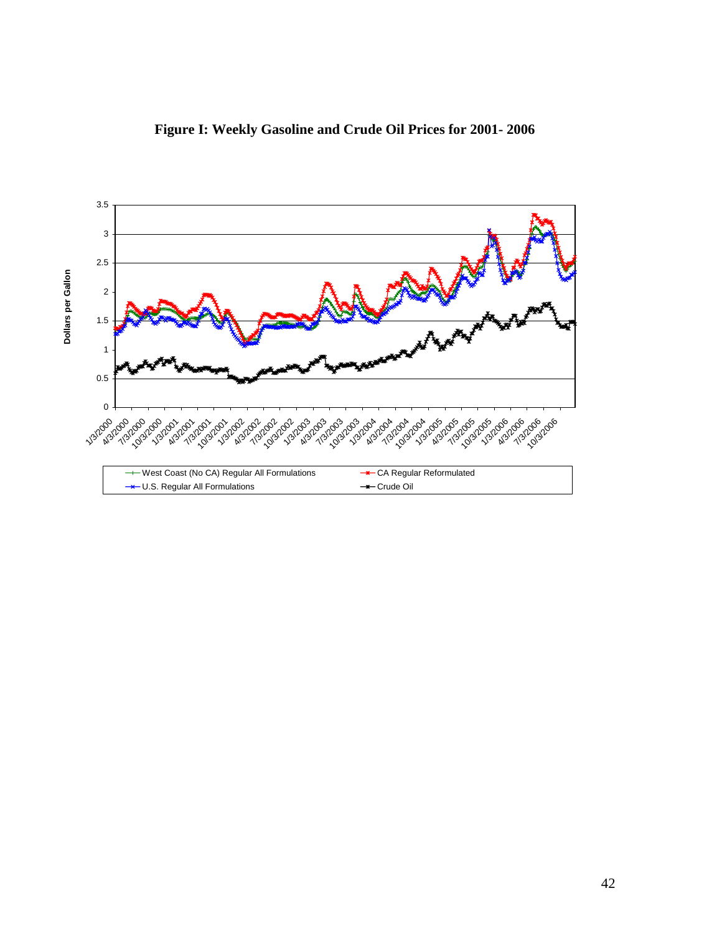